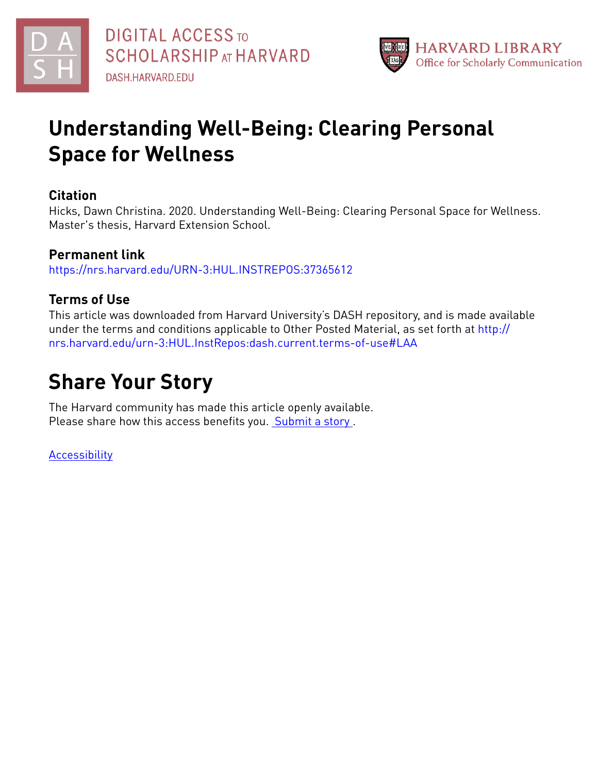



# **Understanding Well-Being: Clearing Personal Space for Wellness**

# **Citation**

Hicks, Dawn Christina. 2020. Understanding Well-Being: Clearing Personal Space for Wellness. Master's thesis, Harvard Extension School.

# **Permanent link**

<https://nrs.harvard.edu/URN-3:HUL.INSTREPOS:37365612>

# **Terms of Use**

This article was downloaded from Harvard University's DASH repository, and is made available under the terms and conditions applicable to Other Posted Material, as set forth at [http://](http://nrs.harvard.edu/urn-3:HUL.InstRepos:dash.current.terms-of-use#LAA) [nrs.harvard.edu/urn-3:HUL.InstRepos:dash.current.terms-of-use#LAA](http://nrs.harvard.edu/urn-3:HUL.InstRepos:dash.current.terms-of-use#LAA)

# **Share Your Story**

The Harvard community has made this article openly available. Please share how this access benefits you. [Submit](http://osc.hul.harvard.edu/dash/open-access-feedback?handle=&title=Understanding%20Well-Being:%20Clearing%20Personal%20Space%20for%20Wellness&community=1/14557738&collection=1/14557739&owningCollection1/14557739&harvardAuthors=df7f862d4515727a1663a0377ac4971c&departmentPsychology) a story .

[Accessibility](https://dash.harvard.edu/pages/accessibility)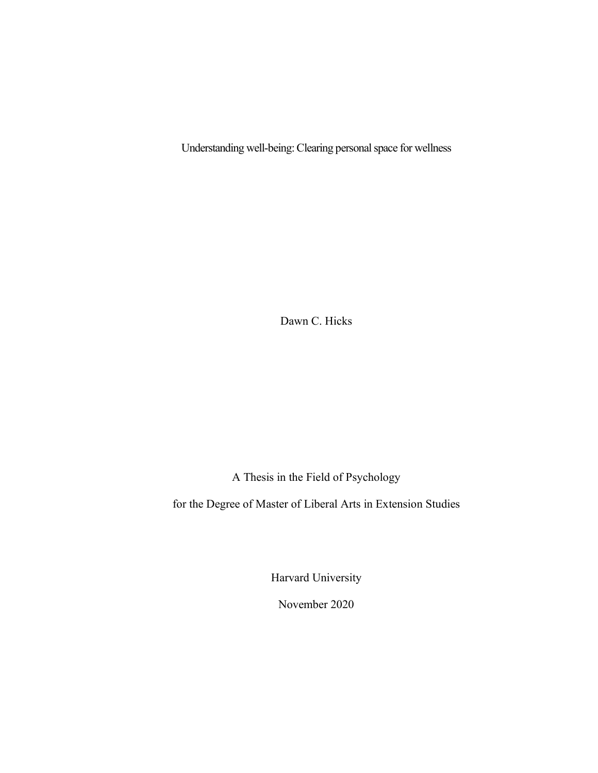Understanding well-being: Clearing personal space for wellness

Dawn C. Hicks

A Thesis in the Field of Psychology

for the Degree of Master of Liberal Arts in Extension Studies

Harvard University

November 2020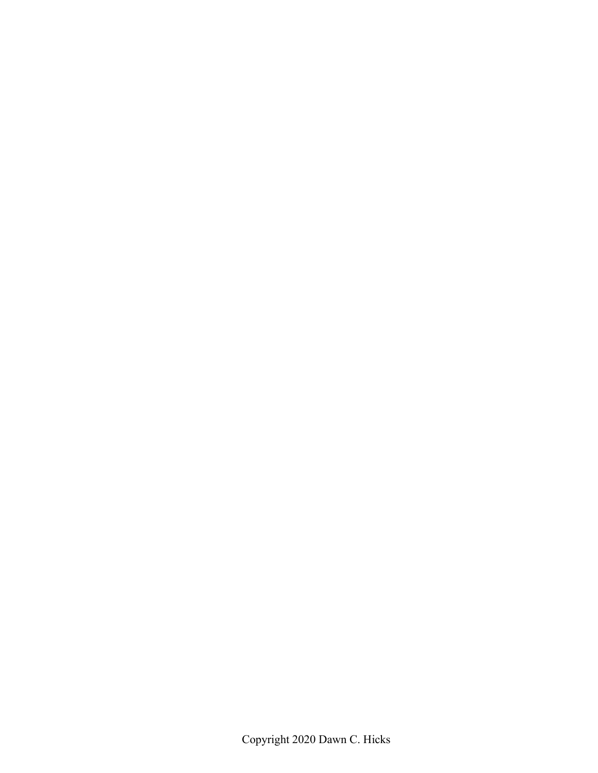Copyright 2020 Dawn C. Hicks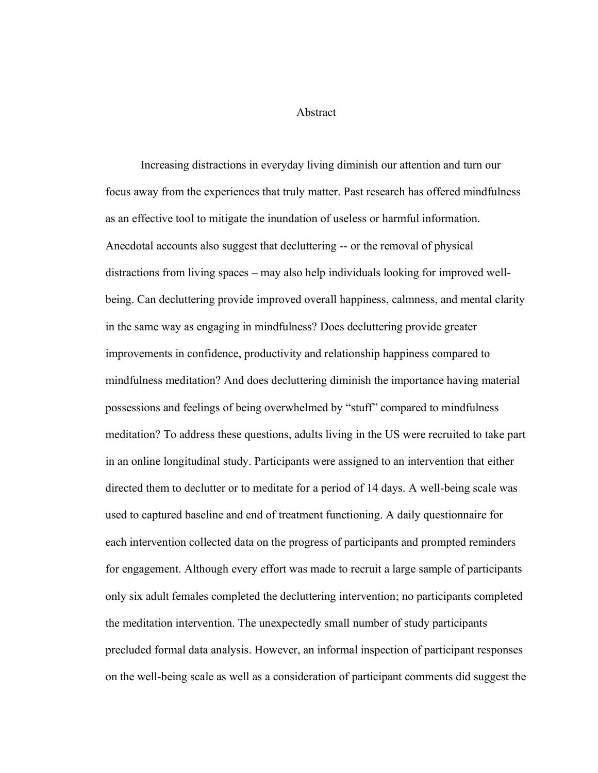Abstract

Increasing distractions in everyday living diminish our attention and turn our focus away from the experiences that truly matter. Past research has offered mindfulness as an effective tool to mitigate the inundation of useless or harmful information. Anecdotal accounts also suggest that decluttering -- or the removal of physical distractions from living spaces – may also help individuals looking for improved wellbeing. Can decluttering provide improved overall happiness, calmness, and mental clarity in the same way as engaging in mindfulness? Does decluttering provide greater improvements in confidence, productivity and relationship happiness compared to mindfulness meditation? And does decluttering diminish the importance having material possessions and feelings of being overwhelmed by "stuff" compared to mindfulness meditation? To address these questions, adults living in the US were recruited to take part in an online longitudinal study. Participants were assigned to an intervention that either directed them to declutter or to meditate for a period of 14 days. A well-being scale was used to captured baseline and end of treatment functioning. A daily questionnaire for each intervention collected data on the progress of participants and prompted reminders for engagement. Although every effort was made to recruit a large sample of participants only six adult females completed the decluttering intervention; no participants completed the meditation intervention. The unexpectedly small number of study participants precluded formal data analysis. However, an informal inspection of participant responses on the well-being scale as well as a consideration of participant comments did suggest the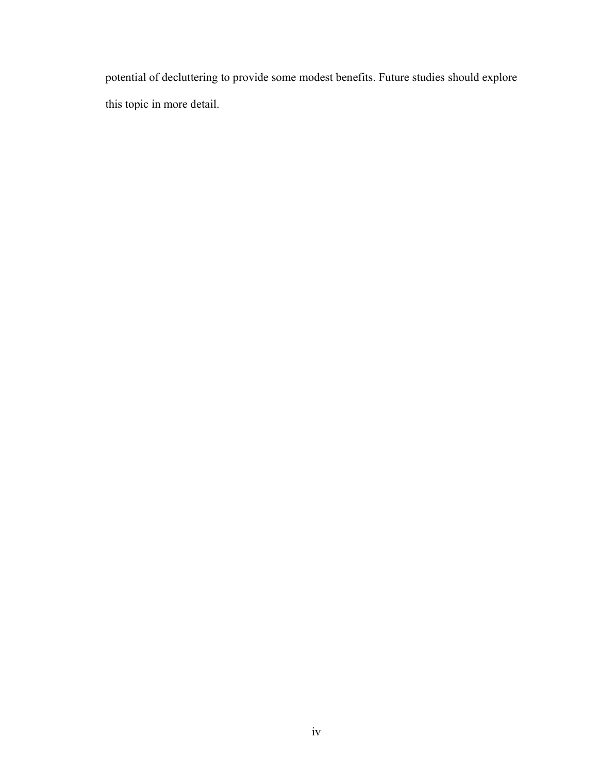potential of decluttering to provide some modest benefits. Future studies should explore this topic in more detail.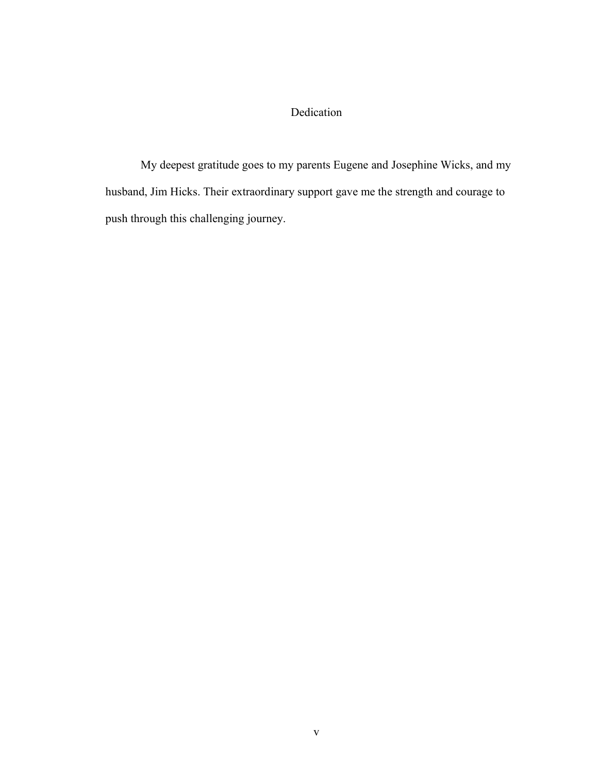## Dedication

My deepest gratitude goes to my parents Eugene and Josephine Wicks, and my husband, Jim Hicks. Their extraordinary support gave me the strength and courage to push through this challenging journey.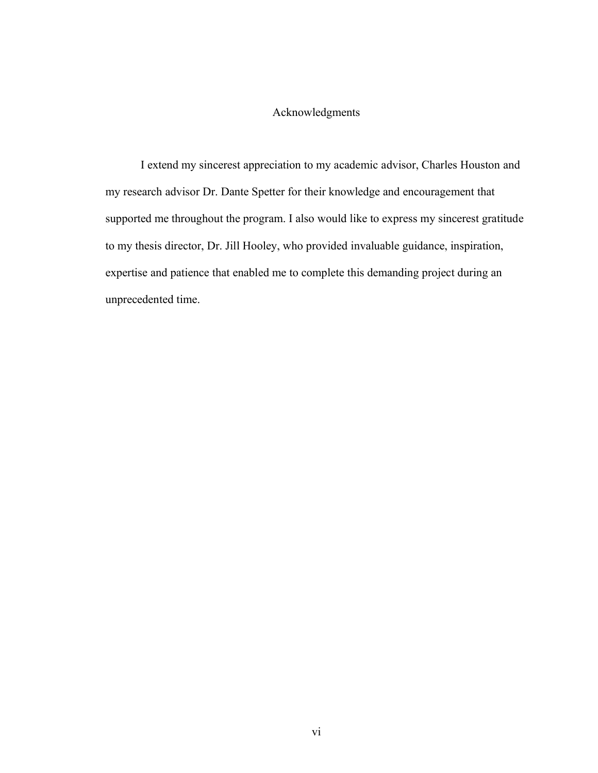### Acknowledgments

I extend my sincerest appreciation to my academic advisor, Charles Houston and my research advisor Dr. Dante Spetter for their knowledge and encouragement that supported me throughout the program. I also would like to express my sincerest gratitude to my thesis director, Dr. Jill Hooley, who provided invaluable guidance, inspiration, expertise and patience that enabled me to complete this demanding project during an unprecedented time.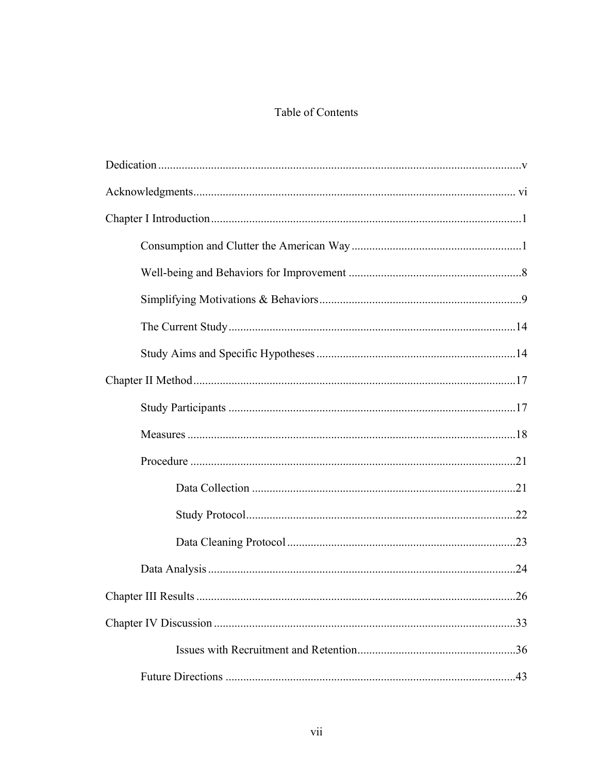## Table of Contents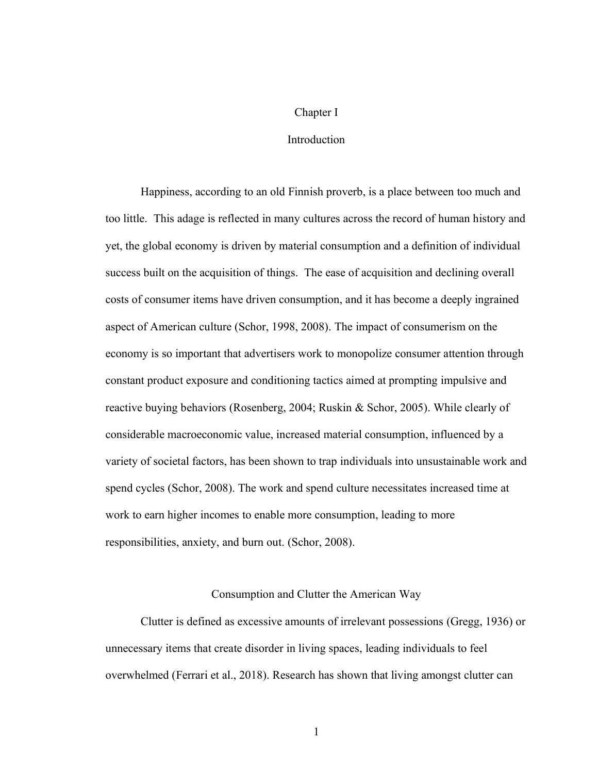#### Chapter I

#### Introduction

Happiness, according to an old Finnish proverb, is a place between too much and too little. This adage is reflected in many cultures across the record of human history and yet, the global economy is driven by material consumption and a definition of individual success built on the acquisition of things. The ease of acquisition and declining overall costs of consumer items have driven consumption, and it has become a deeply ingrained aspect of American culture (Schor, 1998, 2008). The impact of consumerism on the economy is so important that advertisers work to monopolize consumer attention through constant product exposure and conditioning tactics aimed at prompting impulsive and reactive buying behaviors (Rosenberg, 2004; Ruskin & Schor, 2005). While clearly of considerable macroeconomic value, increased material consumption, influenced by a variety of societal factors, has been shown to trap individuals into unsustainable work and spend cycles (Schor, 2008). The work and spend culture necessitates increased time at work to earn higher incomes to enable more consumption, leading to more responsibilities, anxiety, and burn out. (Schor, 2008).

#### Consumption and Clutter the American Way

Clutter is defined as excessive amounts of irrelevant possessions (Gregg, 1936) or unnecessary items that create disorder in living spaces, leading individuals to feel overwhelmed (Ferrari et al., 2018). Research has shown that living amongst clutter can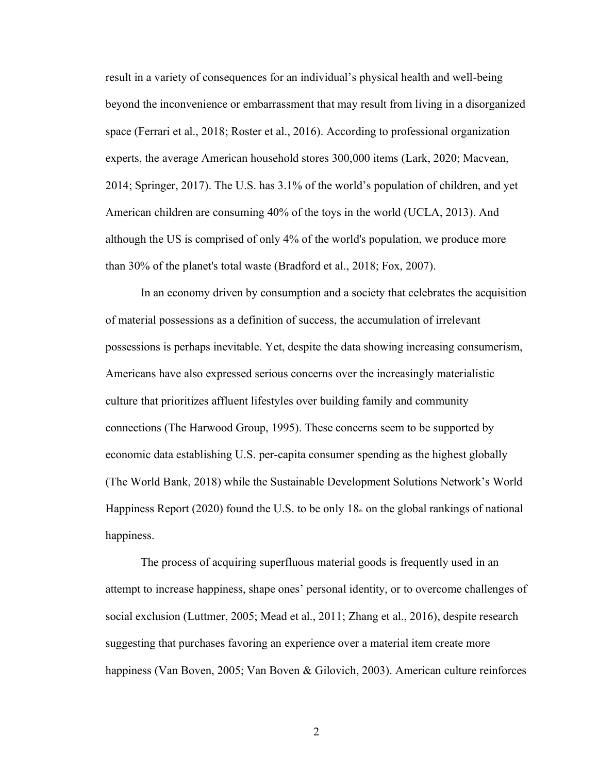result in a variety of consequences for an individual's physical health and well-being beyond the inconvenience or embarrassment that may result from living in a disorganized space (Ferrari et al., 2018; Roster et al., 2016). According to professional organization experts, the average American household stores 300,000 items (Lark, 2020; Macvean, 2014; Springer, 2017). The U.S. has 3.1% of the world's population of children, and yet American children are consuming 40% of the toys in the world (UCLA, 2013). And although the US is comprised of only 4% of the world's population, we produce more than 30% of the planet's total waste (Bradford et al., 2018; Fox, 2007).

In an economy driven by consumption and a society that celebrates the acquisition of material possessions as a definition of success, the accumulation of irrelevant possessions is perhaps inevitable. Yet, despite the data showing increasing consumerism, Americans have also expressed serious concerns over the increasingly materialistic culture that prioritizes affluent lifestyles over building family and community connections (The Harwood Group, 1995). These concerns seem to be supported by economic data establishing U.S. per-capita consumer spending as the highest globally (The World Bank, 2018) while the Sustainable Development Solutions Network's World Happiness Report (2020) found the U.S. to be only  $18<sub>n</sub>$  on the global rankings of national happiness.

The process of acquiring superfluous material goods is frequently used in an attempt to increase happiness, shape ones' personal identity, or to overcome challenges of social exclusion (Luttmer, 2005; Mead et al., 2011; Zhang et al., 2016), despite research suggesting that purchases favoring an experience over a material item create more happiness (Van Boven, 2005; Van Boven & Gilovich, 2003). American culture reinforces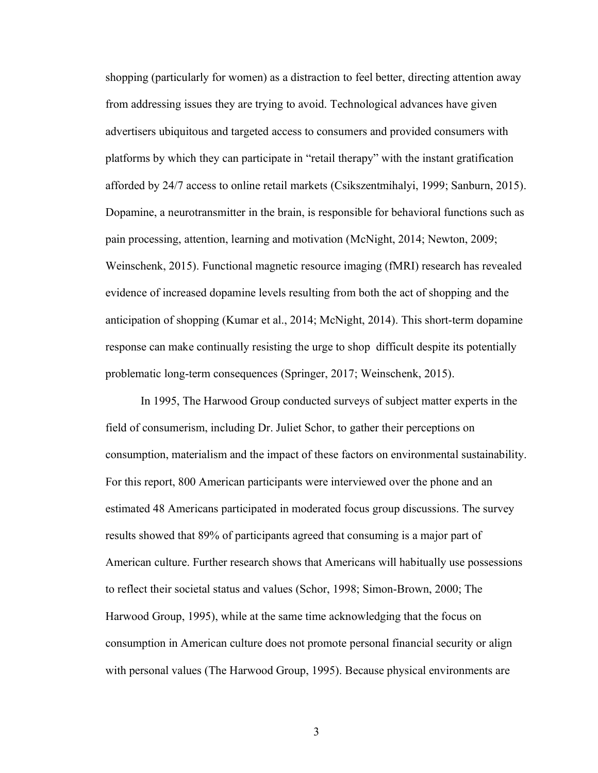shopping (particularly for women) as a distraction to feel better, directing attention away from addressing issues they are trying to avoid. Technological advances have given advertisers ubiquitous and targeted access to consumers and provided consumers with platforms by which they can participate in "retail therapy" with the instant gratification afforded by 24/7 access to online retail markets (Csikszentmihalyi, 1999; Sanburn, 2015). Dopamine, a neurotransmitter in the brain, is responsible for behavioral functions such as pain processing, attention, learning and motivation (McNight, 2014; Newton, 2009; Weinschenk, 2015). Functional magnetic resource imaging (fMRI) research has revealed evidence of increased dopamine levels resulting from both the act of shopping and the anticipation of shopping (Kumar et al., 2014; McNight, 2014). This short-term dopamine response can make continually resisting the urge to shop difficult despite its potentially problematic long-term consequences (Springer, 2017; Weinschenk, 2015).

In 1995, The Harwood Group conducted surveys of subject matter experts in the field of consumerism, including Dr. Juliet Schor, to gather their perceptions on consumption, materialism and the impact of these factors on environmental sustainability. For this report, 800 American participants were interviewed over the phone and an estimated 48 Americans participated in moderated focus group discussions. The survey results showed that 89% of participants agreed that consuming is a major part of American culture. Further research shows that Americans will habitually use possessions to reflect their societal status and values (Schor, 1998; Simon-Brown, 2000; The Harwood Group, 1995), while at the same time acknowledging that the focus on consumption in American culture does not promote personal financial security or align with personal values (The Harwood Group, 1995). Because physical environments are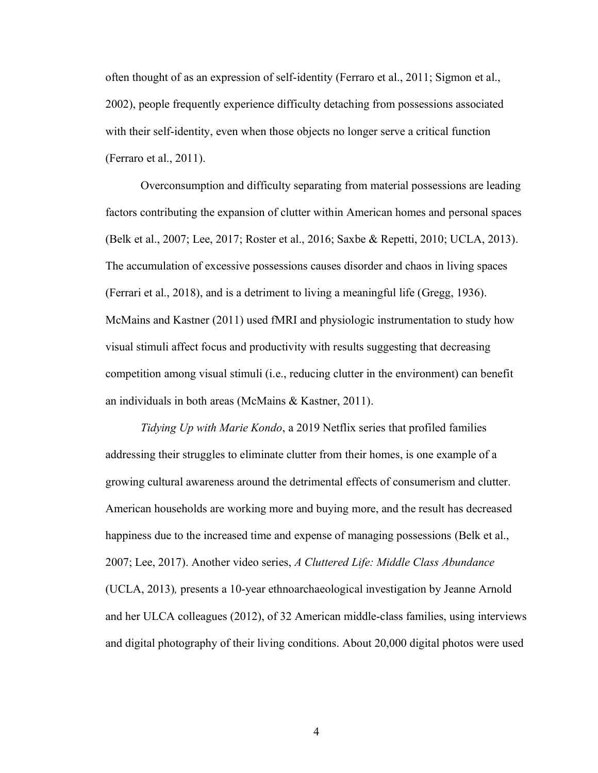often thought of as an expression of self-identity (Ferraro et al., 2011; Sigmon et al., 2002), people frequently experience difficulty detaching from possessions associated with their self-identity, even when those objects no longer serve a critical function (Ferraro et al., 2011).

Overconsumption and difficulty separating from material possessions are leading factors contributing the expansion of clutter within American homes and personal spaces (Belk et al., 2007; Lee, 2017; Roster et al., 2016; Saxbe & Repetti, 2010; UCLA, 2013). The accumulation of excessive possessions causes disorder and chaos in living spaces (Ferrari et al., 2018), and is a detriment to living a meaningful life (Gregg, 1936). McMains and Kastner (2011) used fMRI and physiologic instrumentation to study how visual stimuli affect focus and productivity with results suggesting that decreasing competition among visual stimuli (i.e., reducing clutter in the environment) can benefit an individuals in both areas (McMains & Kastner, 2011).

*Tidying Up with Marie Kondo*, a 2019 Netflix series that profiled families addressing their struggles to eliminate clutter from their homes, is one example of a growing cultural awareness around the detrimental effects of consumerism and clutter. American households are working more and buying more, and the result has decreased happiness due to the increased time and expense of managing possessions (Belk et al., 2007; Lee, 2017). Another video series, *A Cluttered Life: Middle Class Abundance*  (UCLA, 2013)*,* presents a 10-year ethnoarchaeological investigation by Jeanne Arnold and her ULCA colleagues (2012), of 32 American middle-class families, using interviews and digital photography of their living conditions. About 20,000 digital photos were used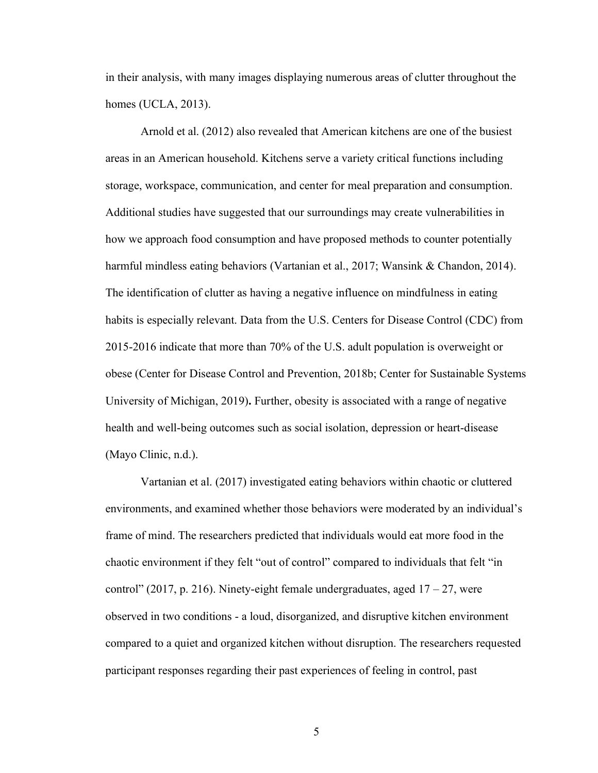in their analysis, with many images displaying numerous areas of clutter throughout the homes (UCLA, 2013).

Arnold et al. (2012) also revealed that American kitchens are one of the busiest areas in an American household. Kitchens serve a variety critical functions including storage, workspace, communication, and center for meal preparation and consumption. Additional studies have suggested that our surroundings may create vulnerabilities in how we approach food consumption and have proposed methods to counter potentially harmful mindless eating behaviors (Vartanian et al., 2017; Wansink & Chandon, 2014). The identification of clutter as having a negative influence on mindfulness in eating habits is especially relevant. Data from the U.S. Centers for Disease Control (CDC) from 2015-2016 indicate that more than 70% of the U.S. adult population is overweight or obese (Center for Disease Control and Prevention, 2018b; Center for Sustainable Systems University of Michigan, 2019)**.** Further, obesity is associated with a range of negative health and well-being outcomes such as social isolation, depression or heart-disease (Mayo Clinic, n.d.).

Vartanian et al. (2017) investigated eating behaviors within chaotic or cluttered environments, and examined whether those behaviors were moderated by an individual's frame of mind. The researchers predicted that individuals would eat more food in the chaotic environment if they felt "out of control" compared to individuals that felt "in control" (2017, p. 216). Ninety-eight female undergraduates, aged  $17 - 27$ , were observed in two conditions - a loud, disorganized, and disruptive kitchen environment compared to a quiet and organized kitchen without disruption. The researchers requested participant responses regarding their past experiences of feeling in control, past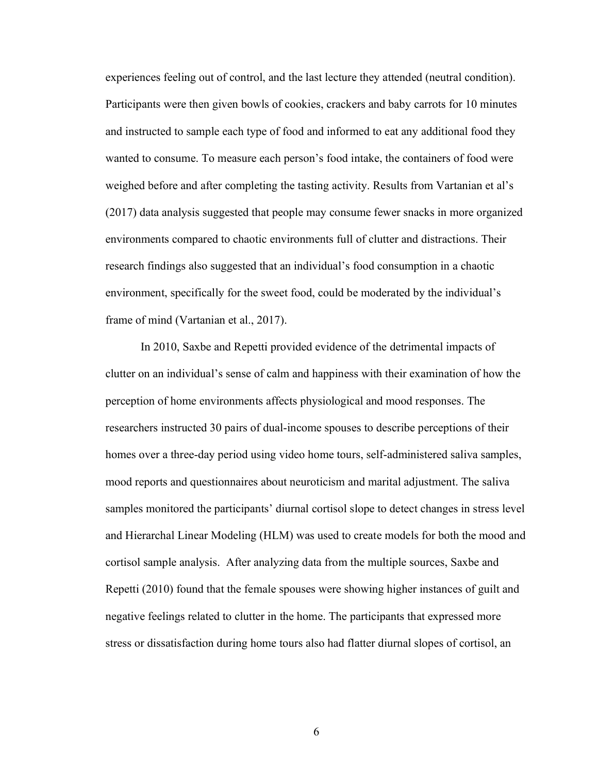experiences feeling out of control, and the last lecture they attended (neutral condition). Participants were then given bowls of cookies, crackers and baby carrots for 10 minutes and instructed to sample each type of food and informed to eat any additional food they wanted to consume. To measure each person's food intake, the containers of food were weighed before and after completing the tasting activity. Results from Vartanian et al's (2017) data analysis suggested that people may consume fewer snacks in more organized environments compared to chaotic environments full of clutter and distractions. Their research findings also suggested that an individual's food consumption in a chaotic environment, specifically for the sweet food, could be moderated by the individual's frame of mind (Vartanian et al., 2017).

In 2010, Saxbe and Repetti provided evidence of the detrimental impacts of clutter on an individual's sense of calm and happiness with their examination of how the perception of home environments affects physiological and mood responses. The researchers instructed 30 pairs of dual-income spouses to describe perceptions of their homes over a three-day period using video home tours, self-administered saliva samples, mood reports and questionnaires about neuroticism and marital adjustment. The saliva samples monitored the participants' diurnal cortisol slope to detect changes in stress level and Hierarchal Linear Modeling (HLM) was used to create models for both the mood and cortisol sample analysis. After analyzing data from the multiple sources, Saxbe and Repetti (2010) found that the female spouses were showing higher instances of guilt and negative feelings related to clutter in the home. The participants that expressed more stress or dissatisfaction during home tours also had flatter diurnal slopes of cortisol, an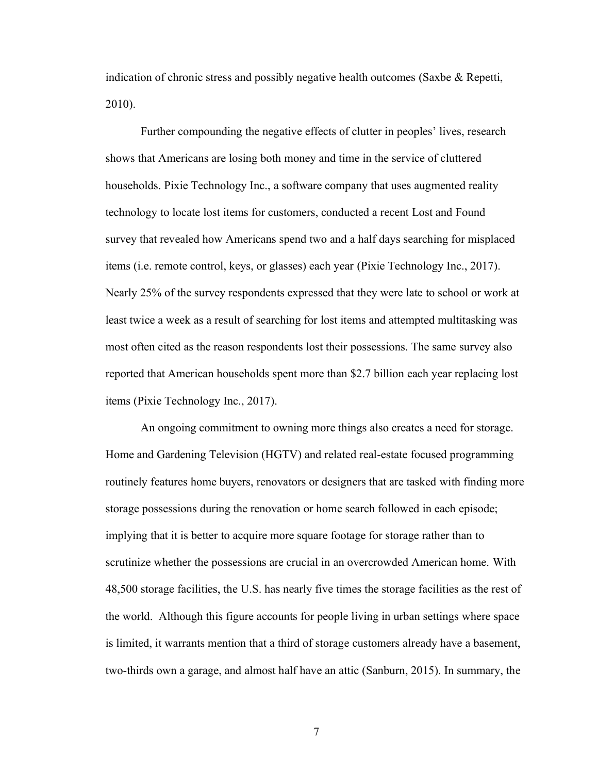indication of chronic stress and possibly negative health outcomes (Saxbe & Repetti, 2010).

Further compounding the negative effects of clutter in peoples' lives, research shows that Americans are losing both money and time in the service of cluttered households. Pixie Technology Inc., a software company that uses augmented reality technology to locate lost items for customers, conducted a recent Lost and Found survey that revealed how Americans spend two and a half days searching for misplaced items (i.e. remote control, keys, or glasses) each year (Pixie Technology Inc., 2017). Nearly 25% of the survey respondents expressed that they were late to school or work at least twice a week as a result of searching for lost items and attempted multitasking was most often cited as the reason respondents lost their possessions. The same survey also reported that American households spent more than \$2.7 billion each year replacing lost items (Pixie Technology Inc., 2017).

An ongoing commitment to owning more things also creates a need for storage. Home and Gardening Television (HGTV) and related real-estate focused programming routinely features home buyers, renovators or designers that are tasked with finding more storage possessions during the renovation or home search followed in each episode; implying that it is better to acquire more square footage for storage rather than to scrutinize whether the possessions are crucial in an overcrowded American home. With 48,500 storage facilities, the U.S. has nearly five times the storage facilities as the rest of the world. Although this figure accounts for people living in urban settings where space is limited, it warrants mention that a third of storage customers already have a basement, two-thirds own a garage, and almost half have an attic (Sanburn, 2015). In summary, the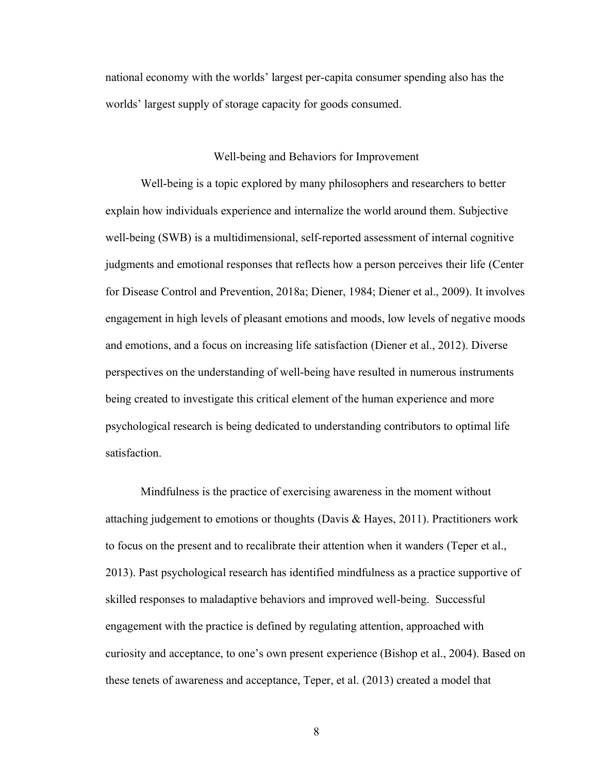national economy with the worlds' largest per-capita consumer spending also has the worlds' largest supply of storage capacity for goods consumed.

#### Well-being and Behaviors for Improvement

Well-being is a topic explored by many philosophers and researchers to better explain how individuals experience and internalize the world around them. Subjective well-being (SWB) is a multidimensional, self-reported assessment of internal cognitive judgments and emotional responses that reflects how a person perceives their life (Center for Disease Control and Prevention, 2018a; Diener, 1984; Diener et al., 2009). It involves engagement in high levels of pleasant emotions and moods, low levels of negative moods and emotions, and a focus on increasing life satisfaction (Diener et al., 2012). Diverse perspectives on the understanding of well-being have resulted in numerous instruments being created to investigate this critical element of the human experience and more psychological research is being dedicated to understanding contributors to optimal life satisfaction.

Mindfulness is the practice of exercising awareness in the moment without attaching judgement to emotions or thoughts (Davis  $\&$  Hayes, 2011). Practitioners work to focus on the present and to recalibrate their attention when it wanders (Teper et al., 2013). Past psychological research has identified mindfulness as a practice supportive of skilled responses to maladaptive behaviors and improved well-being. Successful engagement with the practice is defined by regulating attention, approached with curiosity and acceptance, to one's own present experience (Bishop et al., 2004). Based on these tenets of awareness and acceptance, Teper, et al. (2013) created a model that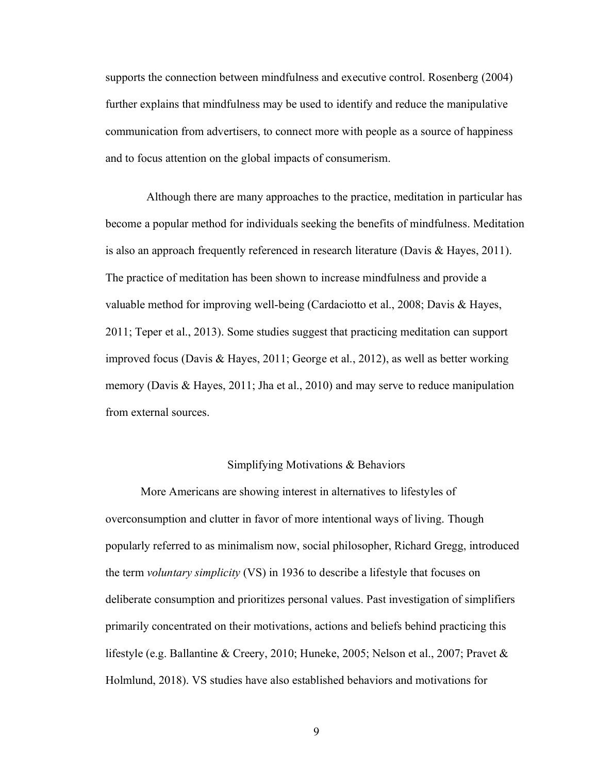supports the connection between mindfulness and executive control. Rosenberg (2004) further explains that mindfulness may be used to identify and reduce the manipulative communication from advertisers, to connect more with people as a source of happiness and to focus attention on the global impacts of consumerism.

Although there are many approaches to the practice, meditation in particular has become a popular method for individuals seeking the benefits of mindfulness. Meditation is also an approach frequently referenced in research literature (Davis & Hayes, 2011). The practice of meditation has been shown to increase mindfulness and provide a valuable method for improving well-being (Cardaciotto et al., 2008; Davis & Hayes, 2011; Teper et al., 2013). Some studies suggest that practicing meditation can support improved focus (Davis & Hayes, 2011; George et al., 2012), as well as better working memory (Davis & Hayes, 2011; Jha et al., 2010) and may serve to reduce manipulation from external sources.

#### Simplifying Motivations & Behaviors

More Americans are showing interest in alternatives to lifestyles of overconsumption and clutter in favor of more intentional ways of living. Though popularly referred to as minimalism now, social philosopher, Richard Gregg, introduced the term *voluntary simplicity* (VS) in 1936 to describe a lifestyle that focuses on deliberate consumption and prioritizes personal values. Past investigation of simplifiers primarily concentrated on their motivations, actions and beliefs behind practicing this lifestyle (e.g. Ballantine & Creery, 2010; Huneke, 2005; Nelson et al., 2007; Pravet & Holmlund, 2018). VS studies have also established behaviors and motivations for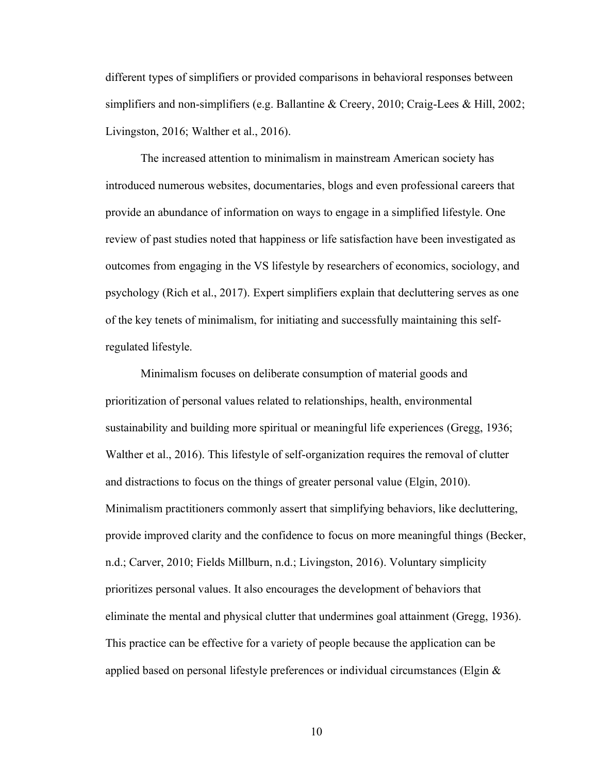different types of simplifiers or provided comparisons in behavioral responses between simplifiers and non-simplifiers (e.g. Ballantine & Creery, 2010; Craig-Lees & Hill, 2002; Livingston, 2016; Walther et al., 2016).

The increased attention to minimalism in mainstream American society has introduced numerous websites, documentaries, blogs and even professional careers that provide an abundance of information on ways to engage in a simplified lifestyle. One review of past studies noted that happiness or life satisfaction have been investigated as outcomes from engaging in the VS lifestyle by researchers of economics, sociology, and psychology (Rich et al., 2017). Expert simplifiers explain that decluttering serves as one of the key tenets of minimalism, for initiating and successfully maintaining this selfregulated lifestyle.

Minimalism focuses on deliberate consumption of material goods and prioritization of personal values related to relationships, health, environmental sustainability and building more spiritual or meaningful life experiences (Gregg, 1936; Walther et al., 2016). This lifestyle of self-organization requires the removal of clutter and distractions to focus on the things of greater personal value (Elgin, 2010). Minimalism practitioners commonly assert that simplifying behaviors, like decluttering, provide improved clarity and the confidence to focus on more meaningful things (Becker, n.d.; Carver, 2010; Fields Millburn, n.d.; Livingston, 2016). Voluntary simplicity prioritizes personal values. It also encourages the development of behaviors that eliminate the mental and physical clutter that undermines goal attainment (Gregg, 1936). This practice can be effective for a variety of people because the application can be applied based on personal lifestyle preferences or individual circumstances (Elgin &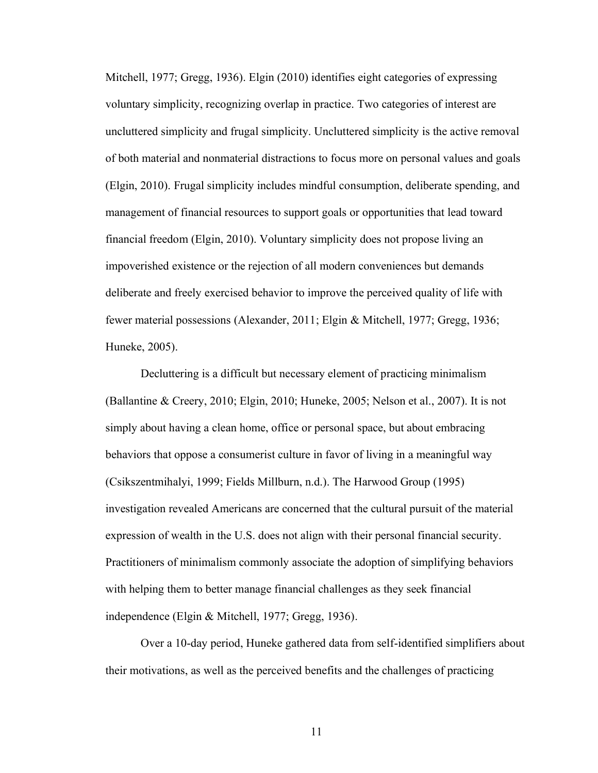Mitchell, 1977; Gregg, 1936). Elgin (2010) identifies eight categories of expressing voluntary simplicity, recognizing overlap in practice. Two categories of interest are uncluttered simplicity and frugal simplicity. Uncluttered simplicity is the active removal of both material and nonmaterial distractions to focus more on personal values and goals (Elgin, 2010). Frugal simplicity includes mindful consumption, deliberate spending, and management of financial resources to support goals or opportunities that lead toward financial freedom (Elgin, 2010). Voluntary simplicity does not propose living an impoverished existence or the rejection of all modern conveniences but demands deliberate and freely exercised behavior to improve the perceived quality of life with fewer material possessions (Alexander, 2011; Elgin & Mitchell, 1977; Gregg, 1936; Huneke, 2005).

Decluttering is a difficult but necessary element of practicing minimalism (Ballantine & Creery, 2010; Elgin, 2010; Huneke, 2005; Nelson et al., 2007). It is not simply about having a clean home, office or personal space, but about embracing behaviors that oppose a consumerist culture in favor of living in a meaningful way (Csikszentmihalyi, 1999; Fields Millburn, n.d.). The Harwood Group (1995) investigation revealed Americans are concerned that the cultural pursuit of the material expression of wealth in the U.S. does not align with their personal financial security. Practitioners of minimalism commonly associate the adoption of simplifying behaviors with helping them to better manage financial challenges as they seek financial independence (Elgin & Mitchell, 1977; Gregg, 1936).

Over a 10-day period, Huneke gathered data from self-identified simplifiers about their motivations, as well as the perceived benefits and the challenges of practicing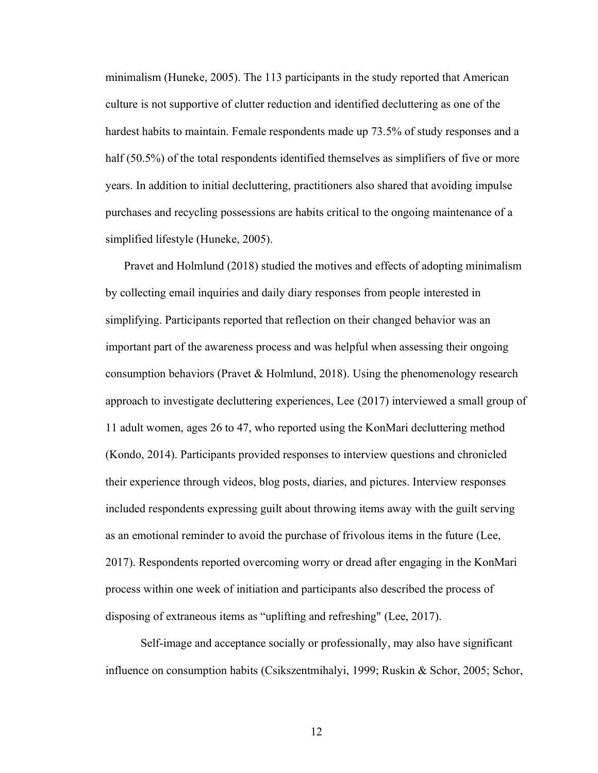minimalism (Huneke, 2005). The 113 participants in the study reported that American culture is not supportive of clutter reduction and identified decluttering as one of the hardest habits to maintain. Female respondents made up 73.5% of study responses and a half (50.5%) of the total respondents identified themselves as simplifiers of five or more years. In addition to initial decluttering, practitioners also shared that avoiding impulse purchases and recycling possessions are habits critical to the ongoing maintenance of a simplified lifestyle (Huneke, 2005).

Pravet and Holmlund (2018) studied the motives and effects of adopting minimalism by collecting email inquiries and daily diary responses from people interested in simplifying. Participants reported that reflection on their changed behavior was an important part of the awareness process and was helpful when assessing their ongoing consumption behaviors (Pravet & Holmlund, 2018). Using the phenomenology research approach to investigate decluttering experiences, Lee (2017) interviewed a small group of 11 adult women, ages 26 to 47, who reported using the KonMari decluttering method (Kondo, 2014). Participants provided responses to interview questions and chronicled their experience through videos, blog posts, diaries, and pictures. Interview responses included respondents expressing guilt about throwing items away with the guilt serving as an emotional reminder to avoid the purchase of frivolous items in the future (Lee, 2017). Respondents reported overcoming worry or dread after engaging in the KonMari process within one week of initiation and participants also described the process of disposing of extraneous items as "uplifting and refreshing" (Lee, 2017).

Self-image and acceptance socially or professionally, may also have significant influence on consumption habits (Csikszentmihalyi, 1999; Ruskin & Schor, 2005; Schor,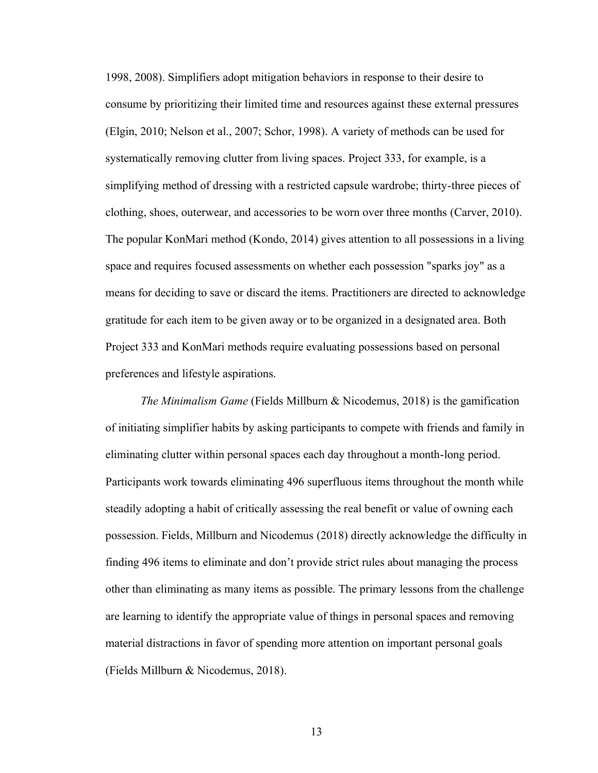1998, 2008). Simplifiers adopt mitigation behaviors in response to their desire to consume by prioritizing their limited time and resources against these external pressures (Elgin, 2010; Nelson et al., 2007; Schor, 1998). A variety of methods can be used for systematically removing clutter from living spaces. Project 333, for example, is a simplifying method of dressing with a restricted capsule wardrobe; thirty-three pieces of clothing, shoes, outerwear, and accessories to be worn over three months (Carver, 2010). The popular KonMari method (Kondo, 2014) gives attention to all possessions in a living space and requires focused assessments on whether each possession "sparks joy" as a means for deciding to save or discard the items. Practitioners are directed to acknowledge gratitude for each item to be given away or to be organized in a designated area. Both Project 333 and KonMari methods require evaluating possessions based on personal preferences and lifestyle aspirations.

*The Minimalism Game* (Fields Millburn & Nicodemus, 2018) is the gamification of initiating simplifier habits by asking participants to compete with friends and family in eliminating clutter within personal spaces each day throughout a month-long period. Participants work towards eliminating 496 superfluous items throughout the month while steadily adopting a habit of critically assessing the real benefit or value of owning each possession. Fields, Millburn and Nicodemus (2018) directly acknowledge the difficulty in finding 496 items to eliminate and don't provide strict rules about managing the process other than eliminating as many items as possible. The primary lessons from the challenge are learning to identify the appropriate value of things in personal spaces and removing material distractions in favor of spending more attention on important personal goals (Fields Millburn & Nicodemus, 2018).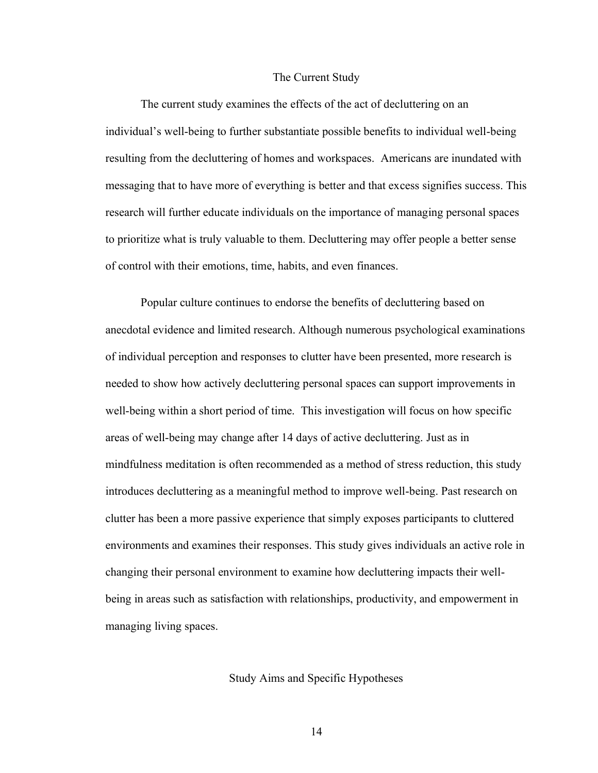#### The Current Study

The current study examines the effects of the act of decluttering on an individual's well-being to further substantiate possible benefits to individual well-being resulting from the decluttering of homes and workspaces. Americans are inundated with messaging that to have more of everything is better and that excess signifies success. This research will further educate individuals on the importance of managing personal spaces to prioritize what is truly valuable to them. Decluttering may offer people a better sense of control with their emotions, time, habits, and even finances.

Popular culture continues to endorse the benefits of decluttering based on anecdotal evidence and limited research. Although numerous psychological examinations of individual perception and responses to clutter have been presented, more research is needed to show how actively decluttering personal spaces can support improvements in well-being within a short period of time. This investigation will focus on how specific areas of well-being may change after 14 days of active decluttering. Just as in mindfulness meditation is often recommended as a method of stress reduction, this study introduces decluttering as a meaningful method to improve well-being. Past research on clutter has been a more passive experience that simply exposes participants to cluttered environments and examines their responses. This study gives individuals an active role in changing their personal environment to examine how decluttering impacts their wellbeing in areas such as satisfaction with relationships, productivity, and empowerment in managing living spaces.

#### Study Aims and Specific Hypotheses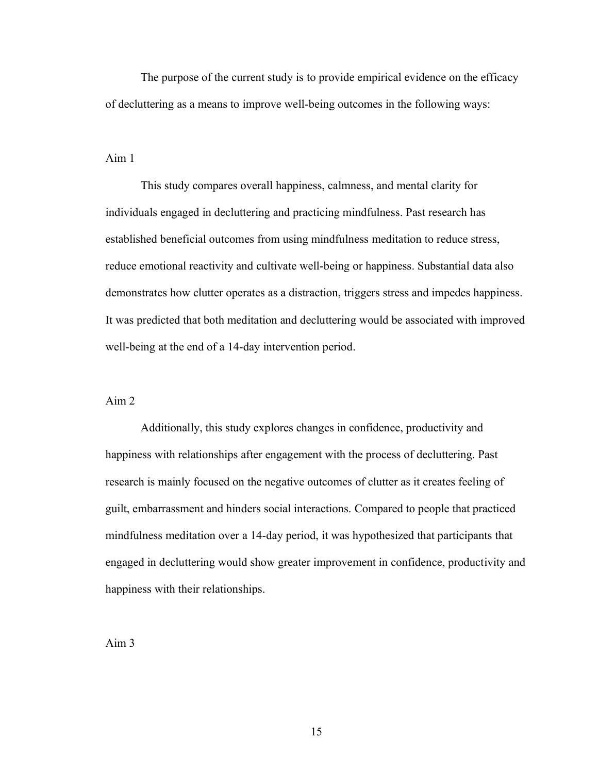The purpose of the current study is to provide empirical evidence on the efficacy of decluttering as a means to improve well-being outcomes in the following ways:

Aim 1

This study compares overall happiness, calmness, and mental clarity for individuals engaged in decluttering and practicing mindfulness. Past research has established beneficial outcomes from using mindfulness meditation to reduce stress, reduce emotional reactivity and cultivate well-being or happiness. Substantial data also demonstrates how clutter operates as a distraction, triggers stress and impedes happiness. It was predicted that both meditation and decluttering would be associated with improved well-being at the end of a 14-day intervention period.

#### Aim 2

Additionally, this study explores changes in confidence, productivity and happiness with relationships after engagement with the process of decluttering. Past research is mainly focused on the negative outcomes of clutter as it creates feeling of guilt, embarrassment and hinders social interactions. Compared to people that practiced mindfulness meditation over a 14-day period, it was hypothesized that participants that engaged in decluttering would show greater improvement in confidence, productivity and happiness with their relationships.

Aim 3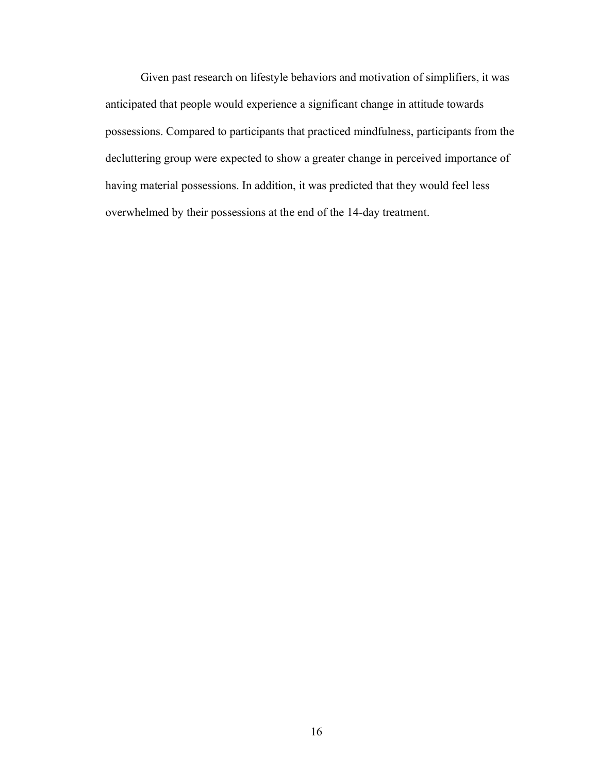Given past research on lifestyle behaviors and motivation of simplifiers, it was anticipated that people would experience a significant change in attitude towards possessions. Compared to participants that practiced mindfulness, participants from the decluttering group were expected to show a greater change in perceived importance of having material possessions. In addition, it was predicted that they would feel less overwhelmed by their possessions at the end of the 14-day treatment.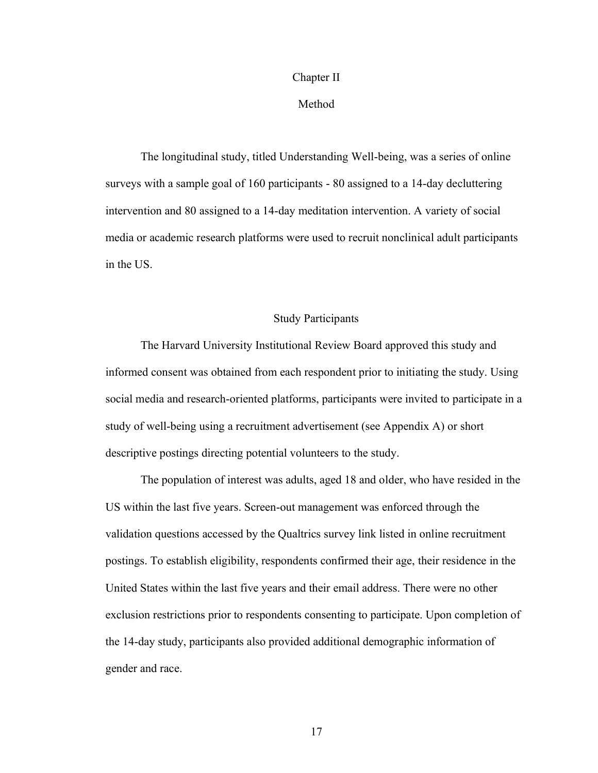#### Chapter II

#### Method

The longitudinal study, titled Understanding Well-being, was a series of online surveys with a sample goal of 160 participants - 80 assigned to a 14-day decluttering intervention and 80 assigned to a 14-day meditation intervention. A variety of social media or academic research platforms were used to recruit nonclinical adult participants in the US.

#### Study Participants

The Harvard University Institutional Review Board approved this study and informed consent was obtained from each respondent prior to initiating the study. Using social media and research-oriented platforms, participants were invited to participate in a study of well-being using a recruitment advertisement (see Appendix A) or short descriptive postings directing potential volunteers to the study.

The population of interest was adults, aged 18 and older, who have resided in the US within the last five years. Screen-out management was enforced through the validation questions accessed by the Qualtrics survey link listed in online recruitment postings. To establish eligibility, respondents confirmed their age, their residence in the United States within the last five years and their email address. There were no other exclusion restrictions prior to respondents consenting to participate. Upon completion of the 14-day study, participants also provided additional demographic information of gender and race.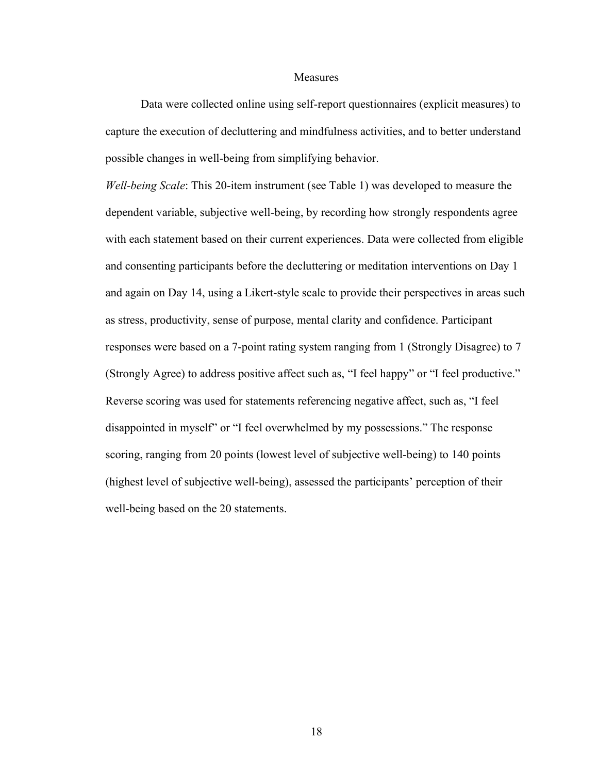#### **Measures**

Data were collected online using self-report questionnaires (explicit measures) to capture the execution of decluttering and mindfulness activities, and to better understand possible changes in well-being from simplifying behavior.

*Well-being Scale*: This 20-item instrument (see Table 1) was developed to measure the dependent variable, subjective well-being, by recording how strongly respondents agree with each statement based on their current experiences. Data were collected from eligible and consenting participants before the decluttering or meditation interventions on Day 1 and again on Day 14, using a Likert-style scale to provide their perspectives in areas such as stress, productivity, sense of purpose, mental clarity and confidence. Participant responses were based on a 7-point rating system ranging from 1 (Strongly Disagree) to 7 (Strongly Agree) to address positive affect such as, "I feel happy" or "I feel productive." Reverse scoring was used for statements referencing negative affect, such as, "I feel disappointed in myself" or "I feel overwhelmed by my possessions." The response scoring, ranging from 20 points (lowest level of subjective well-being) to 140 points (highest level of subjective well-being), assessed the participants' perception of their well-being based on the 20 statements.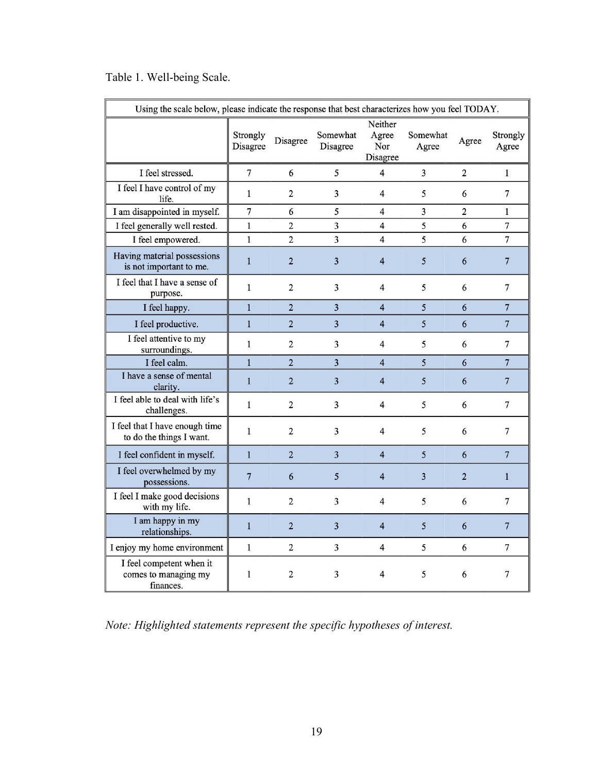|  |  | Table 1. Well-being Scale. |  |
|--|--|----------------------------|--|
|--|--|----------------------------|--|

| Using the scale below, please indicate the response that best characterizes how you feel TODAY. |                      |                |                      |                                     |                         |                |                   |  |  |
|-------------------------------------------------------------------------------------------------|----------------------|----------------|----------------------|-------------------------------------|-------------------------|----------------|-------------------|--|--|
|                                                                                                 | Strongly<br>Disagree | Disagree       | Somewhat<br>Disagree | Neither<br>Agree<br>Nor<br>Disagree | Somewhat<br>Agree       | Agree          | Strongly<br>Agree |  |  |
| I feel stressed.                                                                                | 7                    | 6              | 5                    | 4                                   | 3                       | $\overline{2}$ | $\mathbf{1}$      |  |  |
| I feel I have control of my<br>life.                                                            | $\mathbf{1}$         | $\overline{c}$ | 3                    | $\overline{\mathbf{4}}$             | 5                       | 6              | 7                 |  |  |
| I am disappointed in myself.                                                                    | 7                    | 6              | 5                    | $\overline{\mathbf{4}}$             | $\overline{\mathbf{3}}$ | $\overline{2}$ | $\mathbf{1}$      |  |  |
| I feel generally well rested.                                                                   | $\mathbf{1}$         | $\overline{2}$ | 3                    | 4                                   | 5                       | 6              | $\overline{7}$    |  |  |
| I feel empowered.                                                                               | $\mathbf{1}$         | 2              | 3                    | 4                                   | 5                       | 6              | 7                 |  |  |
| Having material possessions<br>is not important to me.                                          | $\mathbf{1}$         | $\overline{2}$ | 3                    | $\overline{4}$                      | 5                       | 6              | $\overline{7}$    |  |  |
| I feel that I have a sense of<br>purpose.                                                       | $\mathbf{1}$         | $\overline{2}$ | 3                    | 4                                   | 5                       | 6              | 7                 |  |  |
| I feel happy.                                                                                   | $\mathbf{1}$         | $\overline{2}$ | 3                    | $\overline{\mathbf{4}}$             | 5                       | 6              | $\overline{7}$    |  |  |
| I feel productive.                                                                              | $\mathbf{1}$         | $\overline{2}$ | 3                    | $\overline{\mathbf{4}}$             | 5                       | 6              | $\overline{7}$    |  |  |
| I feel attentive to my<br>surroundings.                                                         | 1                    | 2              | 3                    | 4                                   | 5                       | 6              | 7                 |  |  |
| I feel calm.                                                                                    | $\overline{1}$       | $\overline{2}$ | 3                    | $\overline{4}$                      | 5                       | 6              | $\overline{7}$    |  |  |
| I have a sense of mental<br>clarity.                                                            | $\mathbf{1}$         | $\overline{2}$ | 3                    | $\overline{4}$                      | 5                       | 6              | $7\phantom{.0}$   |  |  |
| I feel able to deal with life's<br>challenges.                                                  | $\mathbf{1}$         | $\overline{2}$ | 3                    | 4                                   | 5                       | 6              | 7                 |  |  |
| I feel that I have enough time<br>to do the things I want.                                      | $\mathbf{1}$         | $\overline{2}$ | 3                    | 4                                   | 5                       | 6              | 7                 |  |  |
| I feel confident in myself.                                                                     | $\mathbf{1}$         | $\overline{2}$ | 3                    | $\overline{\mathbf{4}}$             | 5                       | 6              | $\overline{7}$    |  |  |
| I feel overwhelmed by my<br>possessions.                                                        | $7\phantom{.0}$      | 6              | 5                    | $\overline{4}$                      | 3                       | $\overline{2}$ | $\mathbf{1}$      |  |  |
| I feel I make good decisions<br>with my life.                                                   | 1                    | 2              | 3                    | $\overline{\mathbf{4}}$             | 5                       | 6              | 7                 |  |  |
| I am happy in my<br>relationships.                                                              | $\mathbf{1}$         | $\overline{2}$ | 3                    | $\overline{4}$                      | 5                       | 6              | $\overline{7}$    |  |  |
| I enjoy my home environment                                                                     | $\mathbf{1}$         | 2              | 3                    | 4                                   | 5                       | 6              | 7                 |  |  |
| I feel competent when it<br>comes to managing my<br>finances.                                   | $\mathbf{1}$         | $\overline{2}$ | 3                    | 4                                   | 5                       | 6              | 7                 |  |  |

*Note: Highlighted statements represent the specific hypotheses of interest.*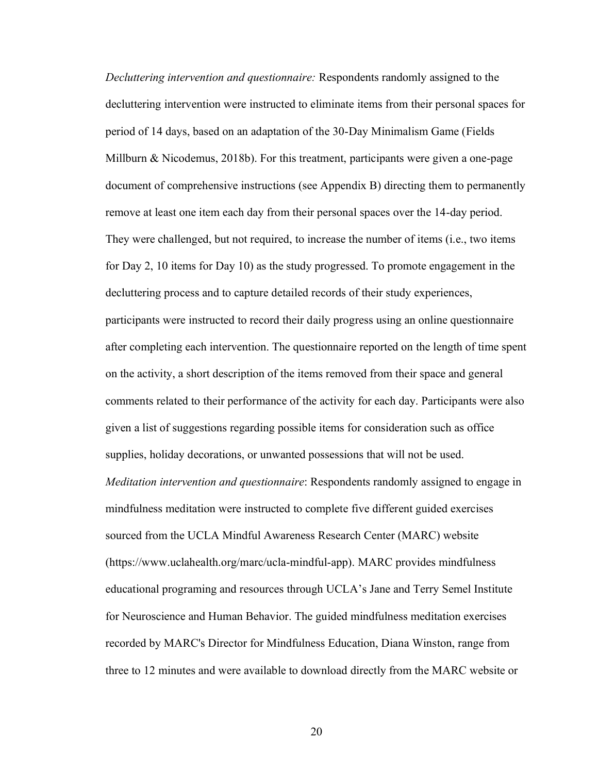*Decluttering intervention and questionnaire:* Respondents randomly assigned to the decluttering intervention were instructed to eliminate items from their personal spaces for period of 14 days, based on an adaptation of the 30-Day Minimalism Game (Fields Millburn & Nicodemus, 2018b). For this treatment, participants were given a one-page document of comprehensive instructions (see Appendix B) directing them to permanently remove at least one item each day from their personal spaces over the 14-day period. They were challenged, but not required, to increase the number of items (i.e., two items for Day 2, 10 items for Day 10) as the study progressed. To promote engagement in the decluttering process and to capture detailed records of their study experiences, participants were instructed to record their daily progress using an online questionnaire after completing each intervention. The questionnaire reported on the length of time spent on the activity, a short description of the items removed from their space and general comments related to their performance of the activity for each day. Participants were also given a list of suggestions regarding possible items for consideration such as office supplies, holiday decorations, or unwanted possessions that will not be used. *Meditation intervention and questionnaire*: Respondents randomly assigned to engage in mindfulness meditation were instructed to complete five different guided exercises sourced from the UCLA Mindful Awareness Research Center (MARC) website (https://www.uclahealth.org/marc/ucla-mindful-app). MARC provides mindfulness educational programing and resources through UCLA's Jane and Terry Semel Institute for Neuroscience and Human Behavior. The guided mindfulness meditation exercises recorded by MARC's Director for Mindfulness Education, Diana Winston, range from three to 12 minutes and were available to download directly from the MARC website or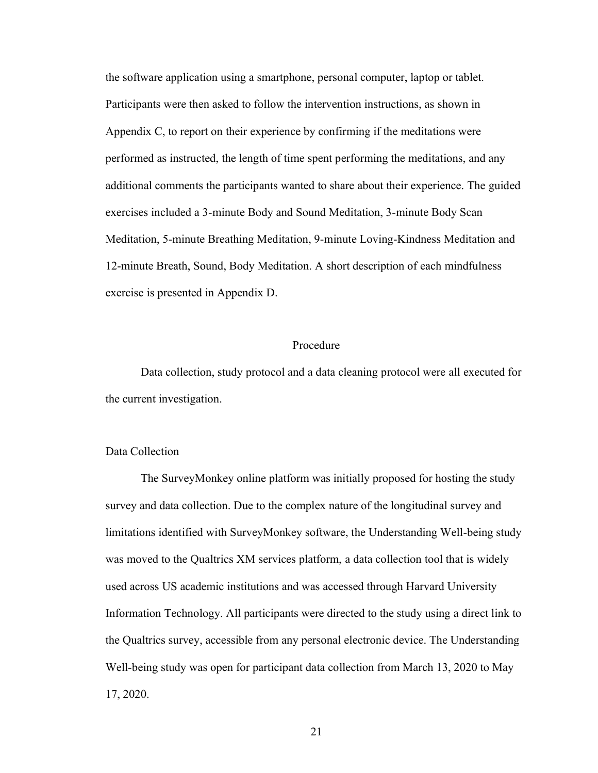the software application using a smartphone, personal computer, laptop or tablet. Participants were then asked to follow the intervention instructions, as shown in Appendix C, to report on their experience by confirming if the meditations were performed as instructed, the length of time spent performing the meditations, and any additional comments the participants wanted to share about their experience. The guided exercises included a 3-minute Body and Sound Meditation, 3-minute Body Scan Meditation, 5-minute Breathing Meditation, 9-minute Loving-Kindness Meditation and 12-minute Breath, Sound, Body Meditation. A short description of each mindfulness exercise is presented in Appendix D.

#### Procedure

Data collection, study protocol and a data cleaning protocol were all executed for the current investigation.

#### Data Collection

The SurveyMonkey online platform was initially proposed for hosting the study survey and data collection. Due to the complex nature of the longitudinal survey and limitations identified with SurveyMonkey software, the Understanding Well-being study was moved to the Qualtrics XM services platform, a data collection tool that is widely used across US academic institutions and was accessed through Harvard University Information Technology. All participants were directed to the study using a direct link to the Qualtrics survey, accessible from any personal electronic device. The Understanding Well-being study was open for participant data collection from March 13, 2020 to May 17, 2020.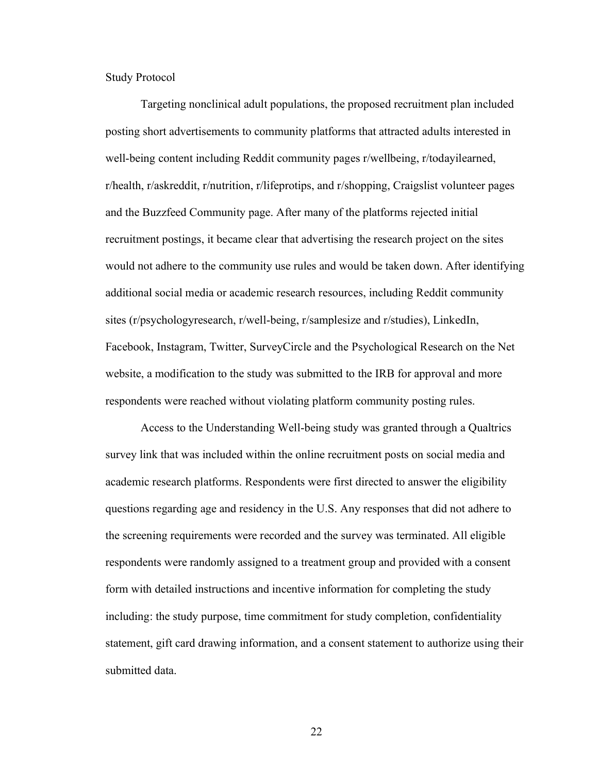Study Protocol

Targeting nonclinical adult populations, the proposed recruitment plan included posting short advertisements to community platforms that attracted adults interested in well-being content including Reddit community pages r/wellbeing, r/todayilearned, r/health, r/askreddit, r/nutrition, r/lifeprotips, and r/shopping, Craigslist volunteer pages and the Buzzfeed Community page. After many of the platforms rejected initial recruitment postings, it became clear that advertising the research project on the sites would not adhere to the community use rules and would be taken down. After identifying additional social media or academic research resources, including Reddit community sites (r/psychologyresearch, r/well-being, r/samplesize and r/studies), LinkedIn, Facebook, Instagram, Twitter, SurveyCircle and the Psychological Research on the Net website, a modification to the study was submitted to the IRB for approval and more respondents were reached without violating platform community posting rules.

Access to the Understanding Well-being study was granted through a Qualtrics survey link that was included within the online recruitment posts on social media and academic research platforms. Respondents were first directed to answer the eligibility questions regarding age and residency in the U.S. Any responses that did not adhere to the screening requirements were recorded and the survey was terminated. All eligible respondents were randomly assigned to a treatment group and provided with a consent form with detailed instructions and incentive information for completing the study including: the study purpose, time commitment for study completion, confidentiality statement, gift card drawing information, and a consent statement to authorize using their submitted data.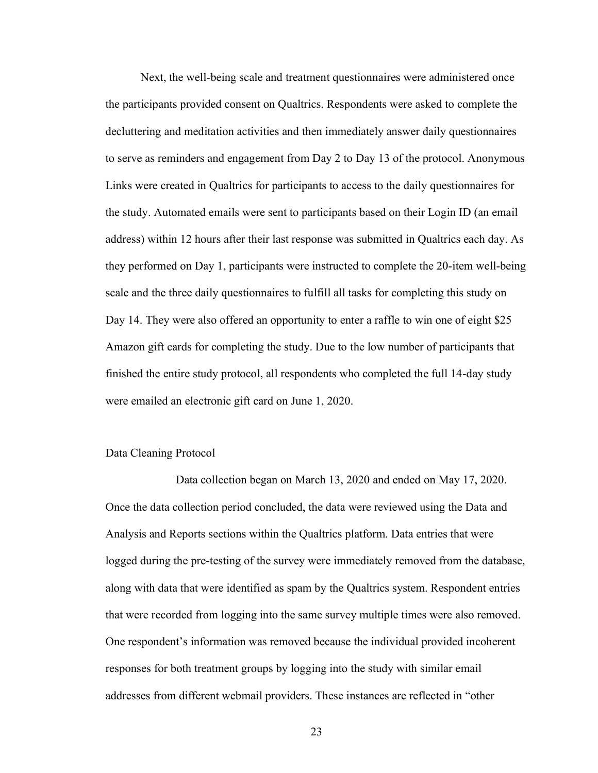Next, the well-being scale and treatment questionnaires were administered once the participants provided consent on Qualtrics. Respondents were asked to complete the decluttering and meditation activities and then immediately answer daily questionnaires to serve as reminders and engagement from Day 2 to Day 13 of the protocol. Anonymous Links were created in Qualtrics for participants to access to the daily questionnaires for the study. Automated emails were sent to participants based on their Login ID (an email address) within 12 hours after their last response was submitted in Qualtrics each day. As they performed on Day 1, participants were instructed to complete the 20-item well-being scale and the three daily questionnaires to fulfill all tasks for completing this study on Day 14. They were also offered an opportunity to enter a raffle to win one of eight \$25 Amazon gift cards for completing the study. Due to the low number of participants that finished the entire study protocol, all respondents who completed the full 14-day study were emailed an electronic gift card on June 1, 2020.

#### Data Cleaning Protocol

Data collection began on March 13, 2020 and ended on May 17, 2020. Once the data collection period concluded, the data were reviewed using the Data and Analysis and Reports sections within the Qualtrics platform. Data entries that were logged during the pre-testing of the survey were immediately removed from the database, along with data that were identified as spam by the Qualtrics system. Respondent entries that were recorded from logging into the same survey multiple times were also removed. One respondent's information was removed because the individual provided incoherent responses for both treatment groups by logging into the study with similar email addresses from different webmail providers. These instances are reflected in "other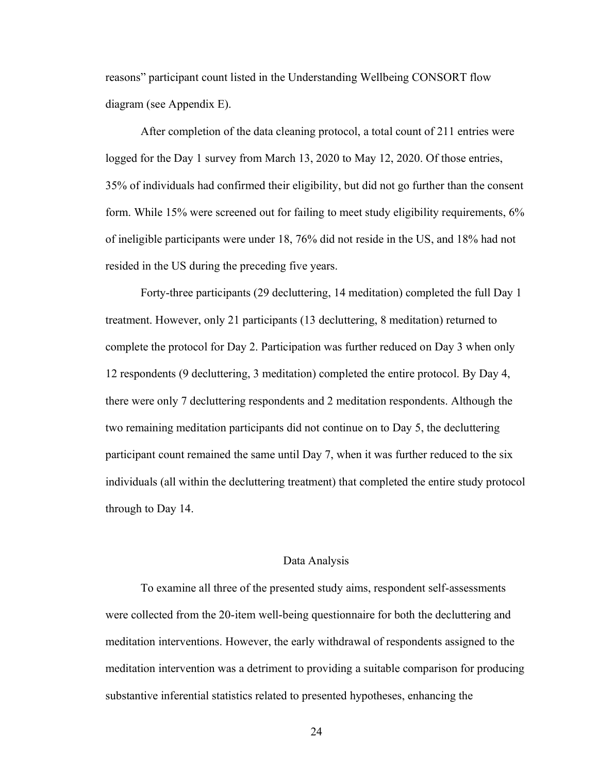reasons" participant count listed in the Understanding Wellbeing CONSORT flow diagram (see Appendix E).

After completion of the data cleaning protocol, a total count of 211 entries were logged for the Day 1 survey from March 13, 2020 to May 12, 2020. Of those entries, 35% of individuals had confirmed their eligibility, but did not go further than the consent form. While 15% were screened out for failing to meet study eligibility requirements, 6% of ineligible participants were under 18, 76% did not reside in the US, and 18% had not resided in the US during the preceding five years.

Forty-three participants (29 decluttering, 14 meditation) completed the full Day 1 treatment. However, only 21 participants (13 decluttering, 8 meditation) returned to complete the protocol for Day 2. Participation was further reduced on Day 3 when only 12 respondents (9 decluttering, 3 meditation) completed the entire protocol. By Day 4, there were only 7 decluttering respondents and 2 meditation respondents. Although the two remaining meditation participants did not continue on to Day 5, the decluttering participant count remained the same until Day 7, when it was further reduced to the six individuals (all within the decluttering treatment) that completed the entire study protocol through to Day 14.

#### Data Analysis

To examine all three of the presented study aims, respondent self-assessments were collected from the 20-item well-being questionnaire for both the decluttering and meditation interventions. However, the early withdrawal of respondents assigned to the meditation intervention was a detriment to providing a suitable comparison for producing substantive inferential statistics related to presented hypotheses, enhancing the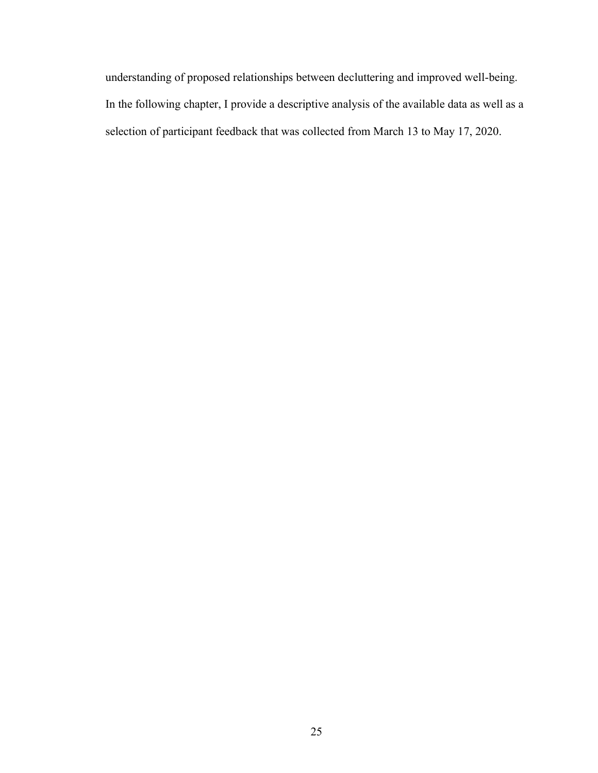understanding of proposed relationships between decluttering and improved well-being. In the following chapter, I provide a descriptive analysis of the available data as well as a selection of participant feedback that was collected from March 13 to May 17, 2020.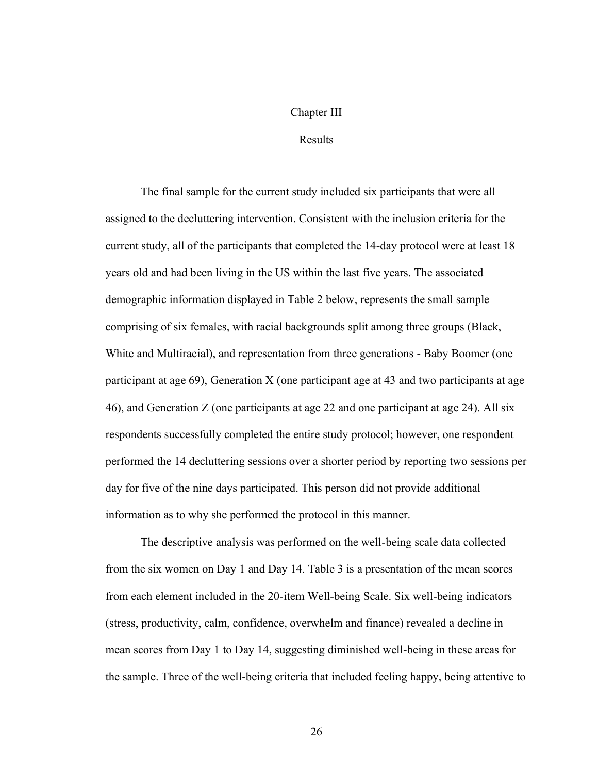#### Chapter III

#### Results

The final sample for the current study included six participants that were all assigned to the decluttering intervention. Consistent with the inclusion criteria for the current study, all of the participants that completed the 14-day protocol were at least 18 years old and had been living in the US within the last five years. The associated demographic information displayed in Table 2 below, represents the small sample comprising of six females, with racial backgrounds split among three groups (Black, White and Multiracial), and representation from three generations - Baby Boomer (one participant at age 69), Generation X (one participant age at 43 and two participants at age 46), and Generation Z (one participants at age 22 and one participant at age 24). All six respondents successfully completed the entire study protocol; however, one respondent performed the 14 decluttering sessions over a shorter period by reporting two sessions per day for five of the nine days participated. This person did not provide additional information as to why she performed the protocol in this manner.

The descriptive analysis was performed on the well-being scale data collected from the six women on Day 1 and Day 14. Table 3 is a presentation of the mean scores from each element included in the 20-item Well-being Scale. Six well-being indicators (stress, productivity, calm, confidence, overwhelm and finance) revealed a decline in mean scores from Day 1 to Day 14, suggesting diminished well-being in these areas for the sample. Three of the well-being criteria that included feeling happy, being attentive to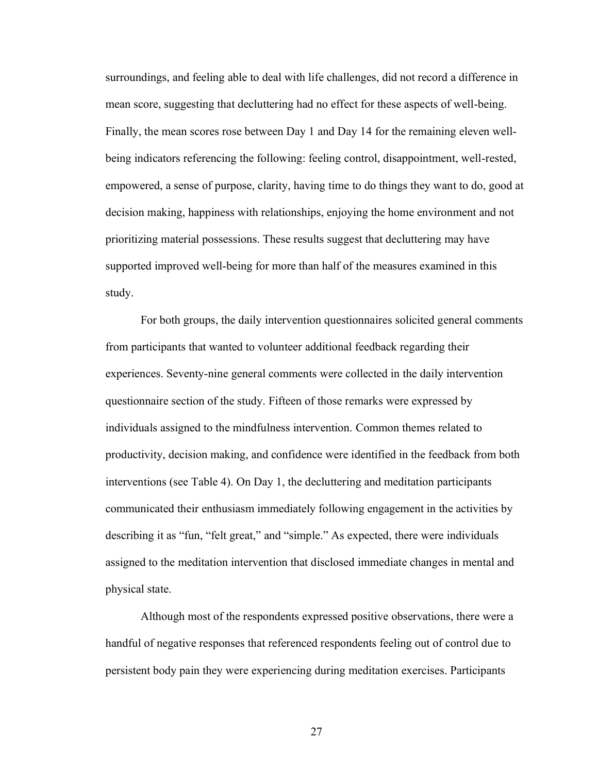surroundings, and feeling able to deal with life challenges, did not record a difference in mean score, suggesting that decluttering had no effect for these aspects of well-being. Finally, the mean scores rose between Day 1 and Day 14 for the remaining eleven wellbeing indicators referencing the following: feeling control, disappointment, well-rested, empowered, a sense of purpose, clarity, having time to do things they want to do, good at decision making, happiness with relationships, enjoying the home environment and not prioritizing material possessions. These results suggest that decluttering may have supported improved well-being for more than half of the measures examined in this study.

For both groups, the daily intervention questionnaires solicited general comments from participants that wanted to volunteer additional feedback regarding their experiences. Seventy-nine general comments were collected in the daily intervention questionnaire section of the study. Fifteen of those remarks were expressed by individuals assigned to the mindfulness intervention. Common themes related to productivity, decision making, and confidence were identified in the feedback from both interventions (see Table 4). On Day 1, the decluttering and meditation participants communicated their enthusiasm immediately following engagement in the activities by describing it as "fun, "felt great," and "simple." As expected, there were individuals assigned to the meditation intervention that disclosed immediate changes in mental and physical state.

Although most of the respondents expressed positive observations, there were a handful of negative responses that referenced respondents feeling out of control due to persistent body pain they were experiencing during meditation exercises. Participants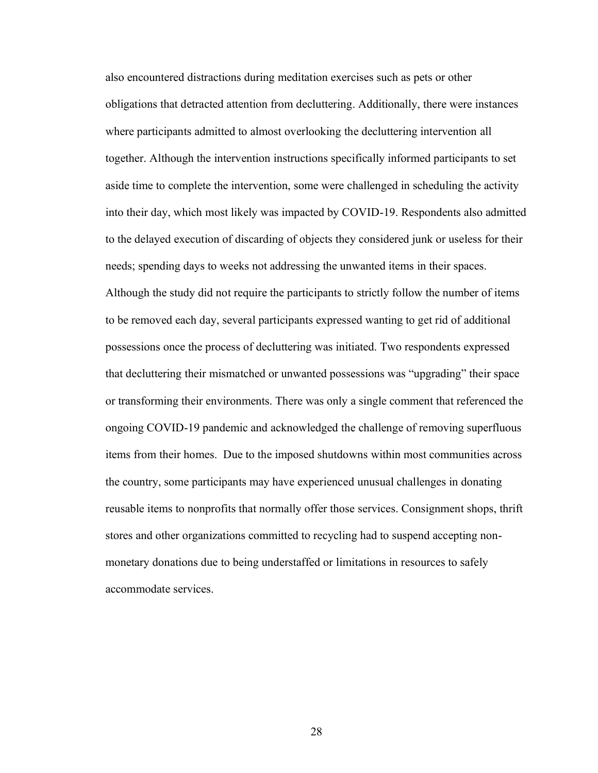also encountered distractions during meditation exercises such as pets or other obligations that detracted attention from decluttering. Additionally, there were instances where participants admitted to almost overlooking the decluttering intervention all together. Although the intervention instructions specifically informed participants to set aside time to complete the intervention, some were challenged in scheduling the activity into their day, which most likely was impacted by COVID-19. Respondents also admitted to the delayed execution of discarding of objects they considered junk or useless for their needs; spending days to weeks not addressing the unwanted items in their spaces. Although the study did not require the participants to strictly follow the number of items to be removed each day, several participants expressed wanting to get rid of additional possessions once the process of decluttering was initiated. Two respondents expressed that decluttering their mismatched or unwanted possessions was "upgrading" their space or transforming their environments. There was only a single comment that referenced the ongoing COVID-19 pandemic and acknowledged the challenge of removing superfluous items from their homes. Due to the imposed shutdowns within most communities across the country, some participants may have experienced unusual challenges in donating reusable items to nonprofits that normally offer those services. Consignment shops, thrift stores and other organizations committed to recycling had to suspend accepting nonmonetary donations due to being understaffed or limitations in resources to safely accommodate services.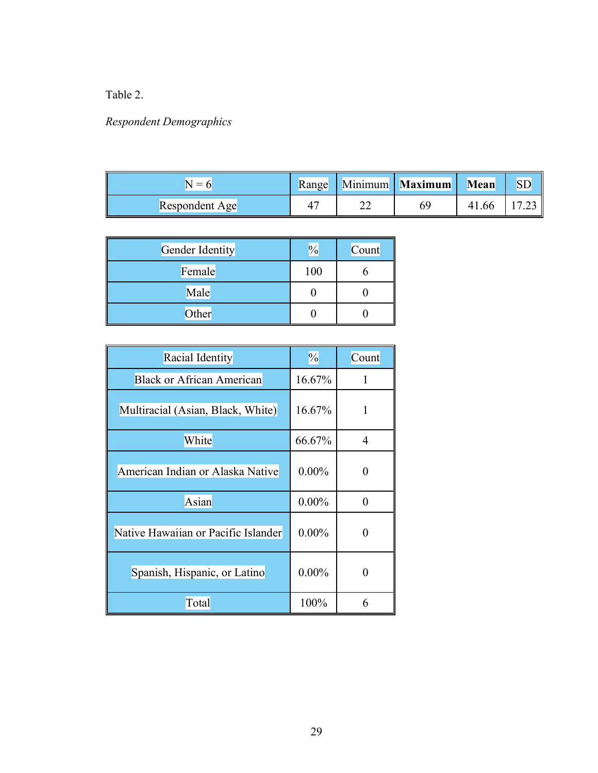# Table 2.

# *Respondent Demographics*

| $=$            |         | Range Minimum Maximum | Mean  | <b>SD</b> |
|----------------|---------|-----------------------|-------|-----------|
| Respondent Age | ົ<br>∠∠ | 69                    | 41.66 |           |

| Gender Identity | $\frac{1}{2}$ | Count |
|-----------------|---------------|-------|
| Female          | 100           |       |
| Male            |               |       |
| Other           |               |       |

| Racial Identity                     | $\frac{0}{0}$ | Count |
|-------------------------------------|---------------|-------|
| <b>Black or African American</b>    | 16.67%        | 1     |
| Multiracial (Asian, Black, White)   | 16.67%        | 1     |
| White                               | 66.67%        | 4     |
| American Indian or Alaska Native    | $0.00\%$      |       |
| Asian                               | $0.00\%$      | ∩     |
| Native Hawaiian or Pacific Islander | $0.00\%$      |       |
| Spanish, Hispanic, or Latino        | $0.00\%$      |       |
| Total                               | 100%          | 6     |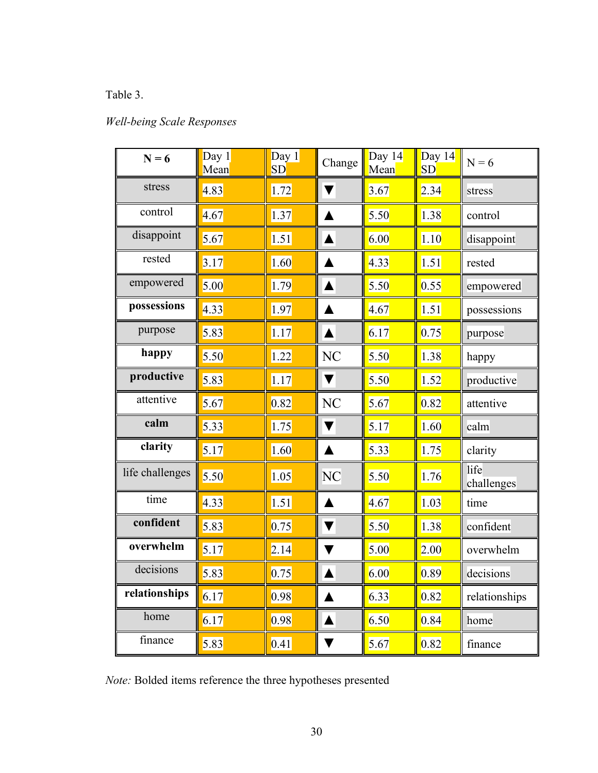# Table 3.

# *Well-being Scale Responses*

| $N = 6$         | Day $1$<br>Mean | Day 1<br>SD | Change               | Day 14<br>Mean | Day 14<br>SD | $N = 6$            |  |
|-----------------|-----------------|-------------|----------------------|----------------|--------------|--------------------|--|
| stress          | 4.83            | 1.72        | ▼                    | 3.67           | 2.34         | stress             |  |
| control         | 4.67            | 1.37        | $\blacktriangle$     | 5.50           | 1.38         | control            |  |
| disappoint      | 5.67            | 1.51        | $\blacktriangle$     | 6.00           | 1.10         | disappoint         |  |
| rested          | 3.17            | 1.60        | ▲                    | 4.33           | 1.51         | rested             |  |
| empowered       | 5.00            | 1.79        | $\blacktriangle$     | 5.50           | 0.55         | empowered          |  |
| possessions     | 4.33            | 1.97        | ▲                    | 4.67           | 1.51         | possessions        |  |
| purpose         | 5.83            | 1.17        | $\blacktriangle$     | 6.17           | 0.75         | purpose            |  |
| happy           | 5.50            | 1.22        | NC                   | 5.50           | 1.38         | happy              |  |
| productive      | 5.83            | 1.17        | $\blacktriangledown$ | 5.50           | 1.52         | productive         |  |
| attentive       | 5.67            | 0.82        | N <sub>C</sub>       | 5.67           | 0.82         | attentive          |  |
| calm            | 5.33            | 1.75        | ▼                    | 5.17           | 1.60         | calm               |  |
| clarity         | 5.17            | 1.60        | ▲                    | 5.33           | 1.75         | clarity            |  |
| life challenges | 5.50            | 1.05        | <b>NC</b>            | 5.50           | 1.76         | life<br>challenges |  |
| time            | 4.33            | 1.51        | ▲                    | 4.67           | 1.03         | time               |  |
| confident       | 5.83            | 0.75        | $\blacktriangledown$ | 5.50           | 1.38         | confident          |  |
| overwhelm       | 5.17            | 2.14        | ▼                    | 5.00           | 2.00         | overwhelm          |  |
| decisions       | 5.83            | 0.75        | $\blacktriangle$     | 6.00           | 0.89         | decisions          |  |
| relationships   | 6.17            | 0.98        | ▲                    | 6.33           | 0.82         | relationships      |  |
| home            | 6.17            | 0.98        | ▲                    | 6.50           | 0.84         | home               |  |
| finance         | 5.83            | 0.41        | V                    | 5.67           | 0.82         | finance            |  |

*Note:* Bolded items reference the three hypotheses presented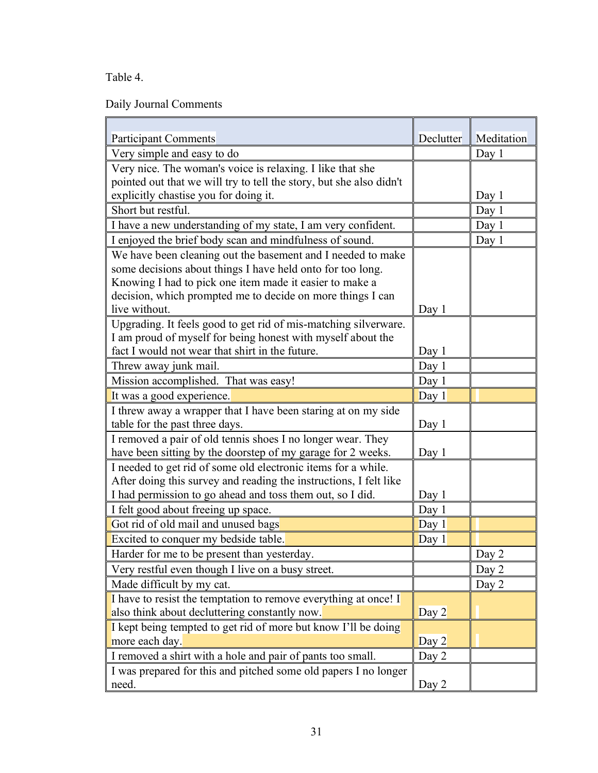Table 4.

Daily Journal Comments

| <b>Participant Comments</b>                                         | Declutter | Meditation |
|---------------------------------------------------------------------|-----------|------------|
| Very simple and easy to do                                          |           | Day 1      |
| Very nice. The woman's voice is relaxing. I like that she           |           |            |
| pointed out that we will try to tell the story, but she also didn't |           |            |
| explicitly chastise you for doing it.                               |           | Day 1      |
| Short but restful.                                                  |           | Day 1      |
| I have a new understanding of my state, I am very confident.        |           | Day 1      |
| I enjoyed the brief body scan and mindfulness of sound.             |           | Day 1      |
| We have been cleaning out the basement and I needed to make         |           |            |
| some decisions about things I have held onto for too long.          |           |            |
| Knowing I had to pick one item made it easier to make a             |           |            |
| decision, which prompted me to decide on more things I can          |           |            |
| live without.                                                       | Day 1     |            |
| Upgrading. It feels good to get rid of mis-matching silverware.     |           |            |
| I am proud of myself for being honest with myself about the         |           |            |
| fact I would not wear that shirt in the future.                     | Day 1     |            |
| Threw away junk mail.                                               | Day 1     |            |
| Mission accomplished. That was easy!                                | Day 1     |            |
| It was a good experience.                                           | Day 1     |            |
| I threw away a wrapper that I have been staring at on my side       |           |            |
| table for the past three days.                                      | Day 1     |            |
| I removed a pair of old tennis shoes I no longer wear. They         |           |            |
| have been sitting by the doorstep of my garage for 2 weeks.         | Day $1$   |            |
| I needed to get rid of some old electronic items for a while.       |           |            |
| After doing this survey and reading the instructions, I felt like   |           |            |
| I had permission to go ahead and toss them out, so I did.           | Day 1     |            |
| I felt good about freeing up space.                                 | Day 1     |            |
| Got rid of old mail and unused bags                                 | Day 1     |            |
| Excited to conquer my bedside table.                                | Day 1     |            |
| Harder for me to be present than yesterday.                         |           | Day 2      |
| Very restful even though I live on a busy street.                   |           | Day 2      |
| Made difficult by my cat.                                           |           | Day 2      |
| I have to resist the temptation to remove everything at once! I     |           |            |
| also think about decluttering constantly now.                       | Day $2$   |            |
| I kept being tempted to get rid of more but know I'll be doing      |           |            |
| more each day.                                                      | Day $2$   |            |
| I removed a shirt with a hole and pair of pants too small.          | Day 2     |            |
| I was prepared for this and pitched some old papers I no longer     |           |            |
| need.                                                               | Day 2     |            |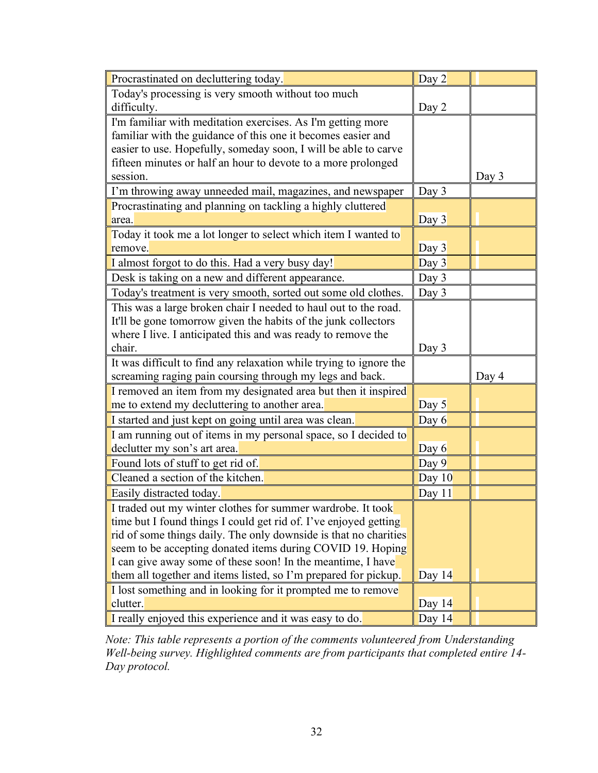| Procrastinated on decluttering today.                              | Day 2    |       |
|--------------------------------------------------------------------|----------|-------|
| Today's processing is very smooth without too much                 |          |       |
| difficulty.                                                        | Day 2    |       |
| I'm familiar with meditation exercises. As I'm getting more        |          |       |
| familiar with the guidance of this one it becomes easier and       |          |       |
| easier to use. Hopefully, someday soon, I will be able to carve    |          |       |
| fifteen minutes or half an hour to devote to a more prolonged      |          |       |
| session.                                                           |          | Day 3 |
| I'm throwing away unneeded mail, magazines, and newspaper          | Day 3    |       |
| Procrastinating and planning on tackling a highly cluttered        |          |       |
| area.                                                              | Day 3    |       |
| Today it took me a lot longer to select which item I wanted to     |          |       |
| remove.                                                            | Day 3    |       |
| I almost forgot to do this. Had a very busy day!                   | Day 3    |       |
| Desk is taking on a new and different appearance.                  | Day 3    |       |
| Today's treatment is very smooth, sorted out some old clothes.     | Day 3    |       |
| This was a large broken chair I needed to haul out to the road.    |          |       |
| It'll be gone tomorrow given the habits of the junk collectors     |          |       |
| where I live. I anticipated this and was ready to remove the       |          |       |
| chair.                                                             | Day 3    |       |
| It was difficult to find any relaxation while trying to ignore the |          |       |
| screaming raging pain coursing through my legs and back.           |          | Day 4 |
| I removed an item from my designated area but then it inspired     |          |       |
| me to extend my decluttering to another area.                      | Day 5    |       |
| I started and just kept on going until area was clean.             | Day 6    |       |
| I am running out of items in my personal space, so I decided to    |          |       |
| declutter my son's art area.                                       | Day $6$  |       |
| Found lots of stuff to get rid of.                                 | Day $9$  |       |
| Cleaned a section of the kitchen.                                  | Day $10$ |       |
| Easily distracted today.                                           | Day 11   |       |
| I traded out my winter clothes for summer wardrobe. It took        |          |       |
| time but I found things I could get rid of. I've enjoyed getting   |          |       |
| rid of some things daily. The only downside is that no charities   |          |       |
| seem to be accepting donated items during COVID 19. Hoping         |          |       |
| I can give away some of these soon! In the meantime, I have        |          |       |
| them all together and items listed, so I'm prepared for pickup.    | Day $14$ |       |
| I lost something and in looking for it prompted me to remove       |          |       |
| clutter.                                                           | Day $14$ |       |
| I really enjoyed this experience and it was easy to do.            | Day 14   |       |

*Note: This table represents a portion of the comments volunteered from Understanding Well-being survey. Highlighted comments are from participants that completed entire 14- Day protocol.*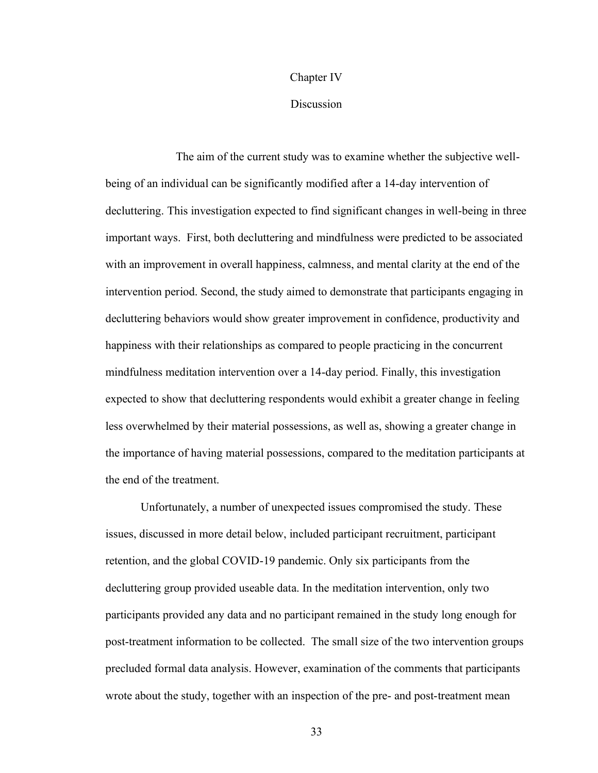# Chapter IV

# Discussion

The aim of the current study was to examine whether the subjective wellbeing of an individual can be significantly modified after a 14-day intervention of decluttering. This investigation expected to find significant changes in well-being in three important ways. First, both decluttering and mindfulness were predicted to be associated with an improvement in overall happiness, calmness, and mental clarity at the end of the intervention period. Second, the study aimed to demonstrate that participants engaging in decluttering behaviors would show greater improvement in confidence, productivity and happiness with their relationships as compared to people practicing in the concurrent mindfulness meditation intervention over a 14-day period. Finally, this investigation expected to show that decluttering respondents would exhibit a greater change in feeling less overwhelmed by their material possessions, as well as, showing a greater change in the importance of having material possessions, compared to the meditation participants at the end of the treatment.

Unfortunately, a number of unexpected issues compromised the study. These issues, discussed in more detail below, included participant recruitment, participant retention, and the global COVID-19 pandemic. Only six participants from the decluttering group provided useable data. In the meditation intervention, only two participants provided any data and no participant remained in the study long enough for post-treatment information to be collected. The small size of the two intervention groups precluded formal data analysis. However, examination of the comments that participants wrote about the study, together with an inspection of the pre- and post-treatment mean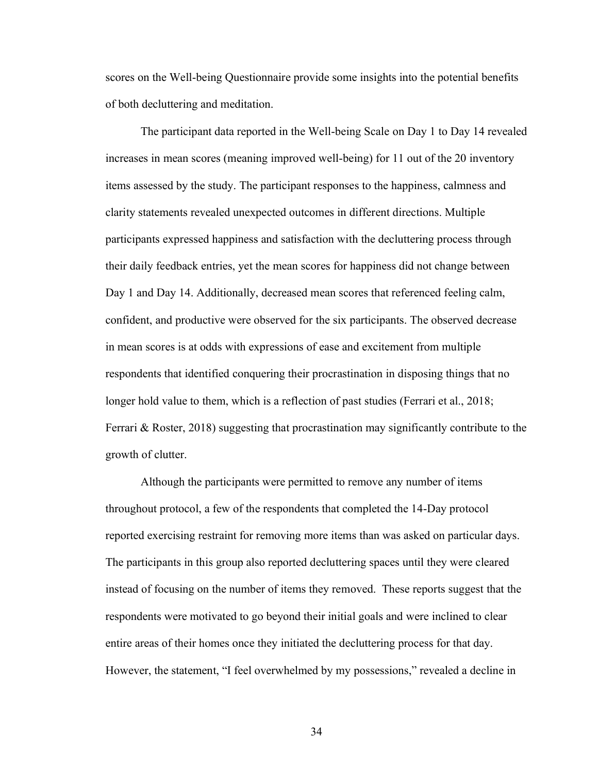scores on the Well-being Questionnaire provide some insights into the potential benefits of both decluttering and meditation.

The participant data reported in the Well-being Scale on Day 1 to Day 14 revealed increases in mean scores (meaning improved well-being) for 11 out of the 20 inventory items assessed by the study. The participant responses to the happiness, calmness and clarity statements revealed unexpected outcomes in different directions. Multiple participants expressed happiness and satisfaction with the decluttering process through their daily feedback entries, yet the mean scores for happiness did not change between Day 1 and Day 14. Additionally, decreased mean scores that referenced feeling calm, confident, and productive were observed for the six participants. The observed decrease in mean scores is at odds with expressions of ease and excitement from multiple respondents that identified conquering their procrastination in disposing things that no longer hold value to them, which is a reflection of past studies (Ferrari et al., 2018; Ferrari & Roster, 2018) suggesting that procrastination may significantly contribute to the growth of clutter.

Although the participants were permitted to remove any number of items throughout protocol, a few of the respondents that completed the 14-Day protocol reported exercising restraint for removing more items than was asked on particular days. The participants in this group also reported decluttering spaces until they were cleared instead of focusing on the number of items they removed. These reports suggest that the respondents were motivated to go beyond their initial goals and were inclined to clear entire areas of their homes once they initiated the decluttering process for that day. However, the statement, "I feel overwhelmed by my possessions," revealed a decline in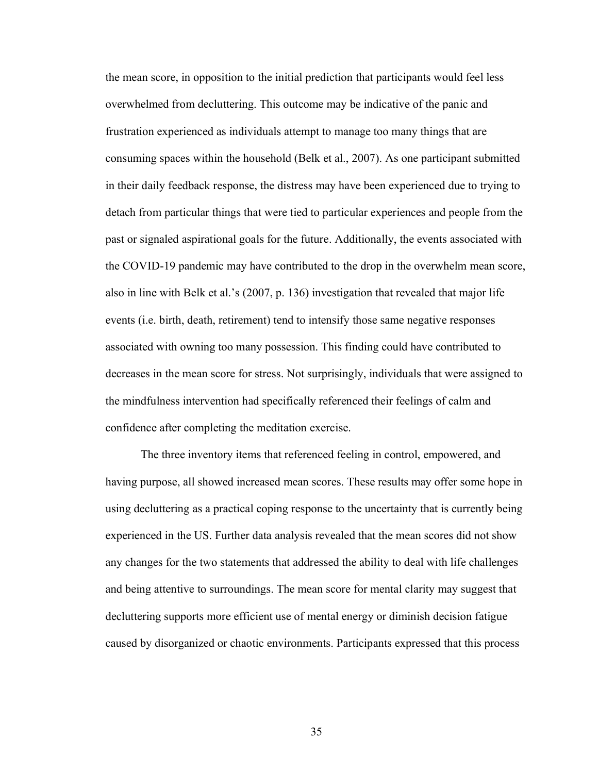the mean score, in opposition to the initial prediction that participants would feel less overwhelmed from decluttering. This outcome may be indicative of the panic and frustration experienced as individuals attempt to manage too many things that are consuming spaces within the household (Belk et al., 2007). As one participant submitted in their daily feedback response, the distress may have been experienced due to trying to detach from particular things that were tied to particular experiences and people from the past or signaled aspirational goals for the future. Additionally, the events associated with the COVID-19 pandemic may have contributed to the drop in the overwhelm mean score, also in line with Belk et al.'s (2007, p. 136) investigation that revealed that major life events (i.e. birth, death, retirement) tend to intensify those same negative responses associated with owning too many possession. This finding could have contributed to decreases in the mean score for stress. Not surprisingly, individuals that were assigned to the mindfulness intervention had specifically referenced their feelings of calm and confidence after completing the meditation exercise.

The three inventory items that referenced feeling in control, empowered, and having purpose, all showed increased mean scores. These results may offer some hope in using decluttering as a practical coping response to the uncertainty that is currently being experienced in the US. Further data analysis revealed that the mean scores did not show any changes for the two statements that addressed the ability to deal with life challenges and being attentive to surroundings. The mean score for mental clarity may suggest that decluttering supports more efficient use of mental energy or diminish decision fatigue caused by disorganized or chaotic environments. Participants expressed that this process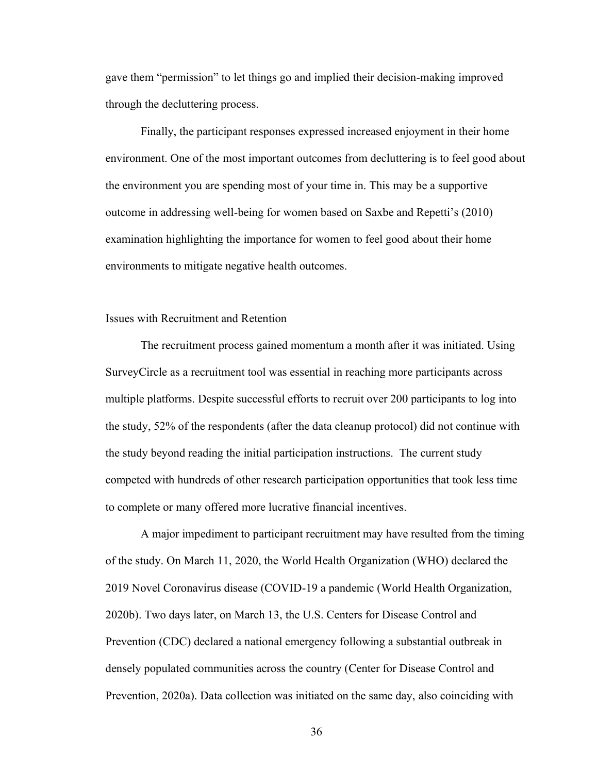gave them "permission" to let things go and implied their decision-making improved through the decluttering process.

Finally, the participant responses expressed increased enjoyment in their home environment. One of the most important outcomes from decluttering is to feel good about the environment you are spending most of your time in. This may be a supportive outcome in addressing well-being for women based on Saxbe and Repetti's (2010) examination highlighting the importance for women to feel good about their home environments to mitigate negative health outcomes.

# Issues with Recruitment and Retention

The recruitment process gained momentum a month after it was initiated. Using SurveyCircle as a recruitment tool was essential in reaching more participants across multiple platforms. Despite successful efforts to recruit over 200 participants to log into the study, 52% of the respondents (after the data cleanup protocol) did not continue with the study beyond reading the initial participation instructions. The current study competed with hundreds of other research participation opportunities that took less time to complete or many offered more lucrative financial incentives.

A major impediment to participant recruitment may have resulted from the timing of the study. On March 11, 2020, the World Health Organization (WHO) declared the 2019 Novel Coronavirus disease (COVID-19 a pandemic (World Health Organization, 2020b). Two days later, on March 13, the U.S. Centers for Disease Control and Prevention (CDC) declared a national emergency following a substantial outbreak in densely populated communities across the country (Center for Disease Control and Prevention, 2020a). Data collection was initiated on the same day, also coinciding with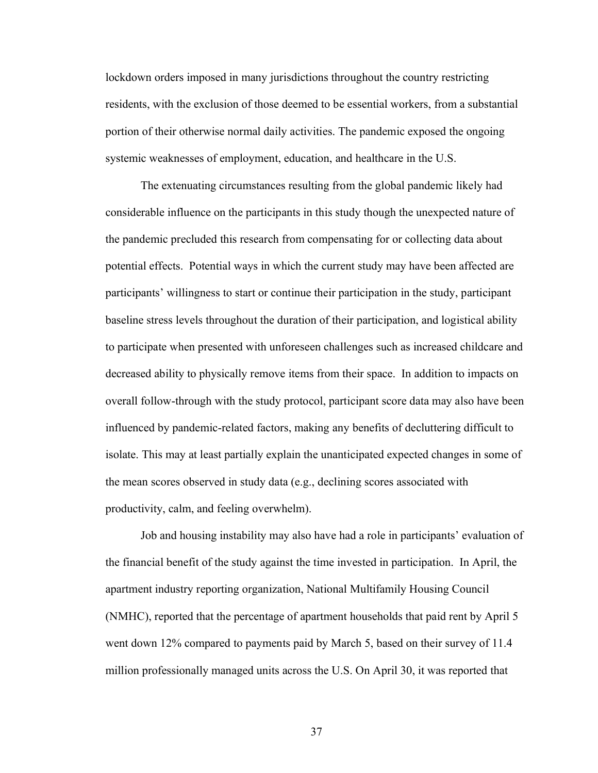lockdown orders imposed in many jurisdictions throughout the country restricting residents, with the exclusion of those deemed to be essential workers, from a substantial portion of their otherwise normal daily activities. The pandemic exposed the ongoing systemic weaknesses of employment, education, and healthcare in the U.S.

The extenuating circumstances resulting from the global pandemic likely had considerable influence on the participants in this study though the unexpected nature of the pandemic precluded this research from compensating for or collecting data about potential effects. Potential ways in which the current study may have been affected are participants' willingness to start or continue their participation in the study, participant baseline stress levels throughout the duration of their participation, and logistical ability to participate when presented with unforeseen challenges such as increased childcare and decreased ability to physically remove items from their space. In addition to impacts on overall follow-through with the study protocol, participant score data may also have been influenced by pandemic-related factors, making any benefits of decluttering difficult to isolate. This may at least partially explain the unanticipated expected changes in some of the mean scores observed in study data (e.g., declining scores associated with productivity, calm, and feeling overwhelm).

Job and housing instability may also have had a role in participants' evaluation of the financial benefit of the study against the time invested in participation. In April, the apartment industry reporting organization, National Multifamily Housing Council (NMHC), reported that the percentage of apartment households that paid rent by April 5 went down 12% compared to payments paid by March 5, based on their survey of 11.4 million professionally managed units across the U.S. On April 30, it was reported that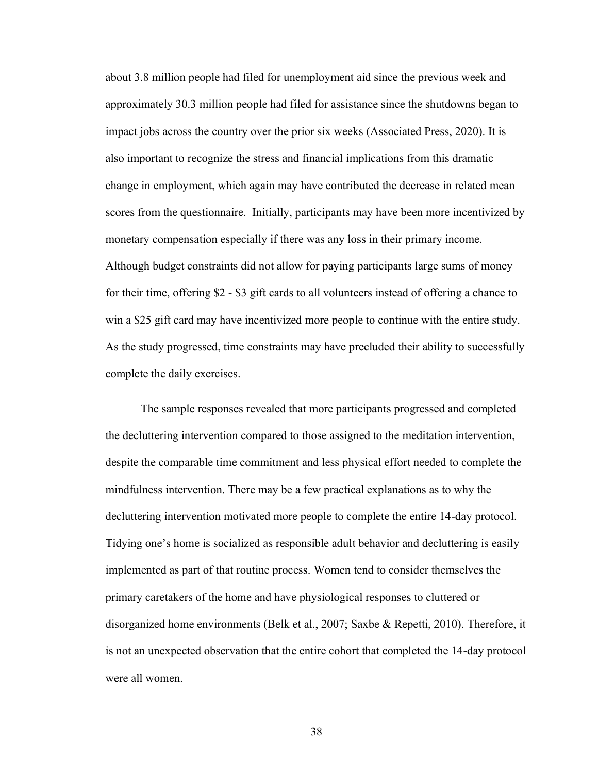about 3.8 million people had filed for unemployment aid since the previous week and approximately 30.3 million people had filed for assistance since the shutdowns began to impact jobs across the country over the prior six weeks (Associated Press, 2020). It is also important to recognize the stress and financial implications from this dramatic change in employment, which again may have contributed the decrease in related mean scores from the questionnaire. Initially, participants may have been more incentivized by monetary compensation especially if there was any loss in their primary income. Although budget constraints did not allow for paying participants large sums of money for their time, offering \$2 - \$3 gift cards to all volunteers instead of offering a chance to win a \$25 gift card may have incentivized more people to continue with the entire study. As the study progressed, time constraints may have precluded their ability to successfully complete the daily exercises.

The sample responses revealed that more participants progressed and completed the decluttering intervention compared to those assigned to the meditation intervention, despite the comparable time commitment and less physical effort needed to complete the mindfulness intervention. There may be a few practical explanations as to why the decluttering intervention motivated more people to complete the entire 14-day protocol. Tidying one's home is socialized as responsible adult behavior and decluttering is easily implemented as part of that routine process. Women tend to consider themselves the primary caretakers of the home and have physiological responses to cluttered or disorganized home environments (Belk et al., 2007; Saxbe & Repetti, 2010). Therefore, it is not an unexpected observation that the entire cohort that completed the 14-day protocol were all women.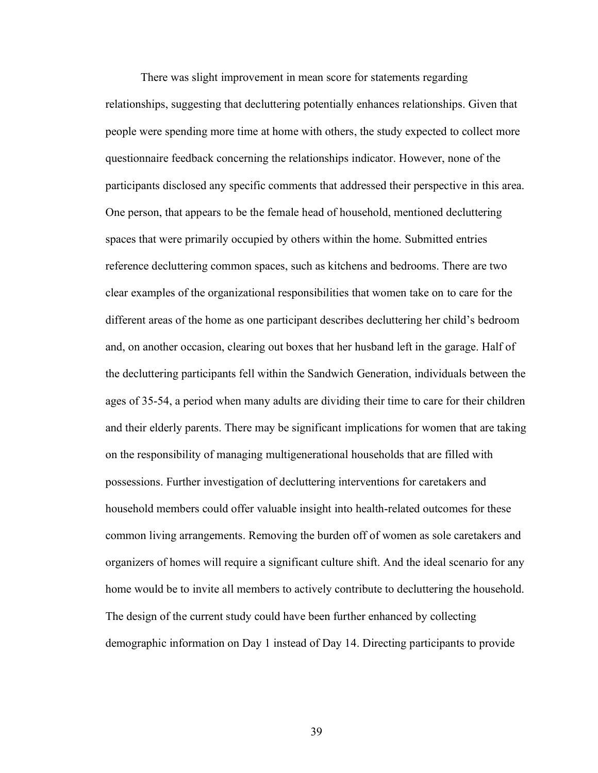There was slight improvement in mean score for statements regarding relationships, suggesting that decluttering potentially enhances relationships. Given that people were spending more time at home with others, the study expected to collect more questionnaire feedback concerning the relationships indicator. However, none of the participants disclosed any specific comments that addressed their perspective in this area. One person, that appears to be the female head of household, mentioned decluttering spaces that were primarily occupied by others within the home. Submitted entries reference decluttering common spaces, such as kitchens and bedrooms. There are two clear examples of the organizational responsibilities that women take on to care for the different areas of the home as one participant describes decluttering her child's bedroom and, on another occasion, clearing out boxes that her husband left in the garage. Half of the decluttering participants fell within the Sandwich Generation, individuals between the ages of 35-54, a period when many adults are dividing their time to care for their children and their elderly parents. There may be significant implications for women that are taking on the responsibility of managing multigenerational households that are filled with possessions. Further investigation of decluttering interventions for caretakers and household members could offer valuable insight into health-related outcomes for these common living arrangements. Removing the burden off of women as sole caretakers and organizers of homes will require a significant culture shift. And the ideal scenario for any home would be to invite all members to actively contribute to decluttering the household. The design of the current study could have been further enhanced by collecting demographic information on Day 1 instead of Day 14. Directing participants to provide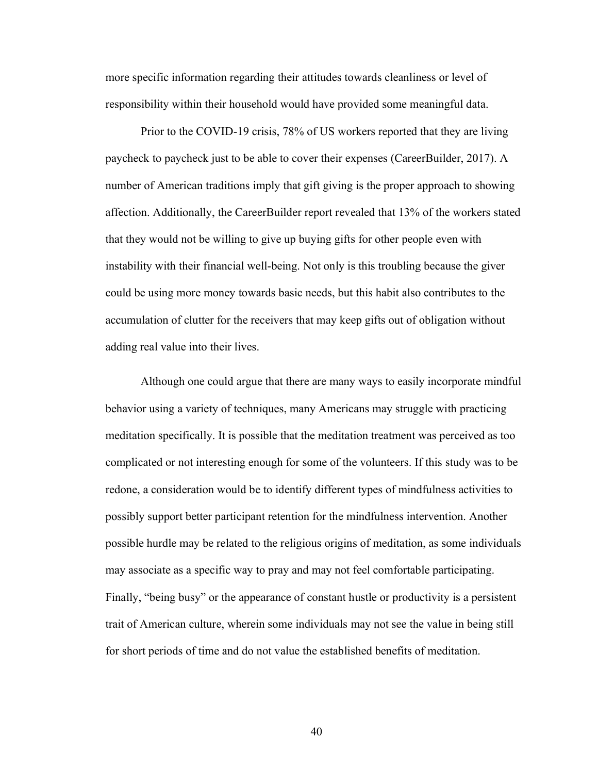more specific information regarding their attitudes towards cleanliness or level of responsibility within their household would have provided some meaningful data.

Prior to the COVID-19 crisis, 78% of US workers reported that they are living paycheck to paycheck just to be able to cover their expenses (CareerBuilder, 2017). A number of American traditions imply that gift giving is the proper approach to showing affection. Additionally, the CareerBuilder report revealed that 13% of the workers stated that they would not be willing to give up buying gifts for other people even with instability with their financial well-being. Not only is this troubling because the giver could be using more money towards basic needs, but this habit also contributes to the accumulation of clutter for the receivers that may keep gifts out of obligation without adding real value into their lives.

Although one could argue that there are many ways to easily incorporate mindful behavior using a variety of techniques, many Americans may struggle with practicing meditation specifically. It is possible that the meditation treatment was perceived as too complicated or not interesting enough for some of the volunteers. If this study was to be redone, a consideration would be to identify different types of mindfulness activities to possibly support better participant retention for the mindfulness intervention. Another possible hurdle may be related to the religious origins of meditation, as some individuals may associate as a specific way to pray and may not feel comfortable participating. Finally, "being busy" or the appearance of constant hustle or productivity is a persistent trait of American culture, wherein some individuals may not see the value in being still for short periods of time and do not value the established benefits of meditation.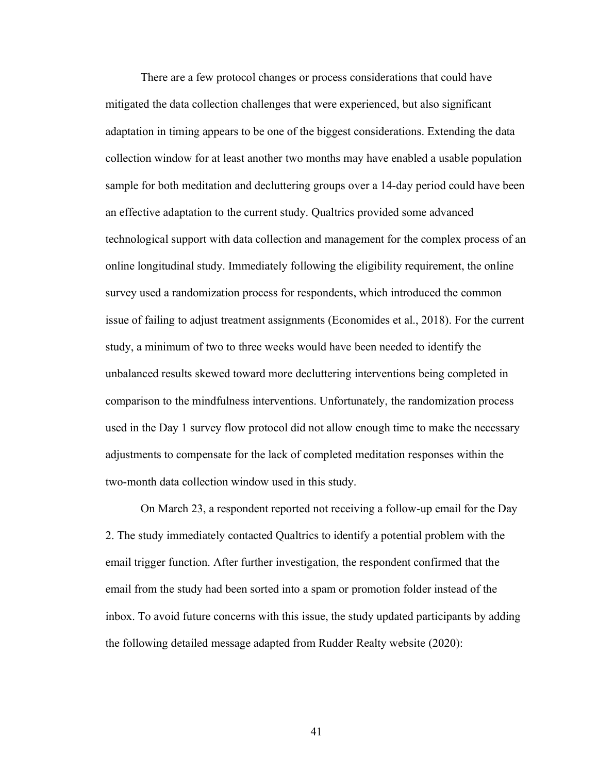There are a few protocol changes or process considerations that could have mitigated the data collection challenges that were experienced, but also significant adaptation in timing appears to be one of the biggest considerations. Extending the data collection window for at least another two months may have enabled a usable population sample for both meditation and decluttering groups over a 14-day period could have been an effective adaptation to the current study. Qualtrics provided some advanced technological support with data collection and management for the complex process of an online longitudinal study. Immediately following the eligibility requirement, the online survey used a randomization process for respondents, which introduced the common issue of failing to adjust treatment assignments (Economides et al., 2018). For the current study, a minimum of two to three weeks would have been needed to identify the unbalanced results skewed toward more decluttering interventions being completed in comparison to the mindfulness interventions. Unfortunately, the randomization process used in the Day 1 survey flow protocol did not allow enough time to make the necessary adjustments to compensate for the lack of completed meditation responses within the two-month data collection window used in this study.

On March 23, a respondent reported not receiving a follow-up email for the Day 2. The study immediately contacted Qualtrics to identify a potential problem with the email trigger function. After further investigation, the respondent confirmed that the email from the study had been sorted into a spam or promotion folder instead of the inbox. To avoid future concerns with this issue, the study updated participants by adding the following detailed message adapted from Rudder Realty website (2020):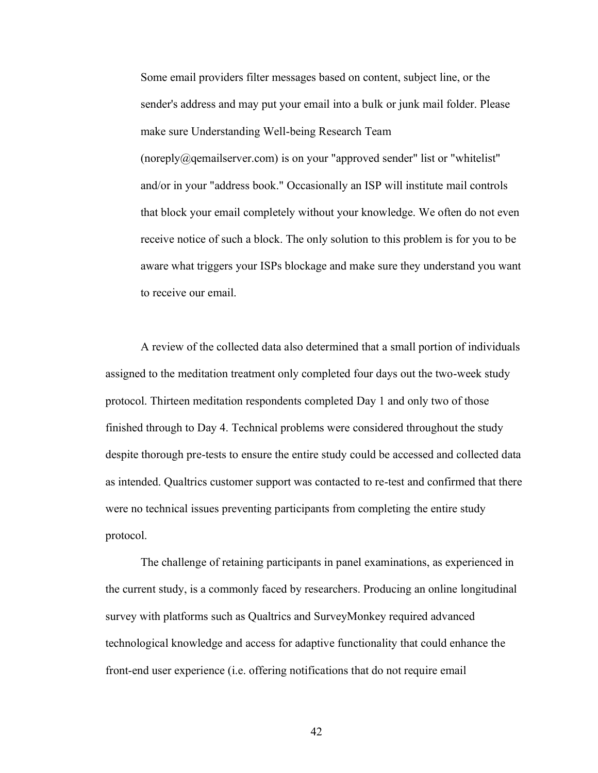Some email providers filter messages based on content, subject line, or the sender's address and may put your email into a bulk or junk mail folder. Please make sure Understanding Well-being Research Team (noreply@qemailserver.com) is on your "approved sender" list or "whitelist" and/or in your "address book." Occasionally an ISP will institute mail controls that block your email completely without your knowledge. We often do not even receive notice of such a block. The only solution to this problem is for you to be aware what triggers your ISPs blockage and make sure they understand you want to receive our email.

A review of the collected data also determined that a small portion of individuals assigned to the meditation treatment only completed four days out the two-week study protocol. Thirteen meditation respondents completed Day 1 and only two of those finished through to Day 4. Technical problems were considered throughout the study despite thorough pre-tests to ensure the entire study could be accessed and collected data as intended. Qualtrics customer support was contacted to re-test and confirmed that there were no technical issues preventing participants from completing the entire study protocol.

The challenge of retaining participants in panel examinations, as experienced in the current study, is a commonly faced by researchers. Producing an online longitudinal survey with platforms such as Qualtrics and SurveyMonkey required advanced technological knowledge and access for adaptive functionality that could enhance the front-end user experience (i.e. offering notifications that do not require email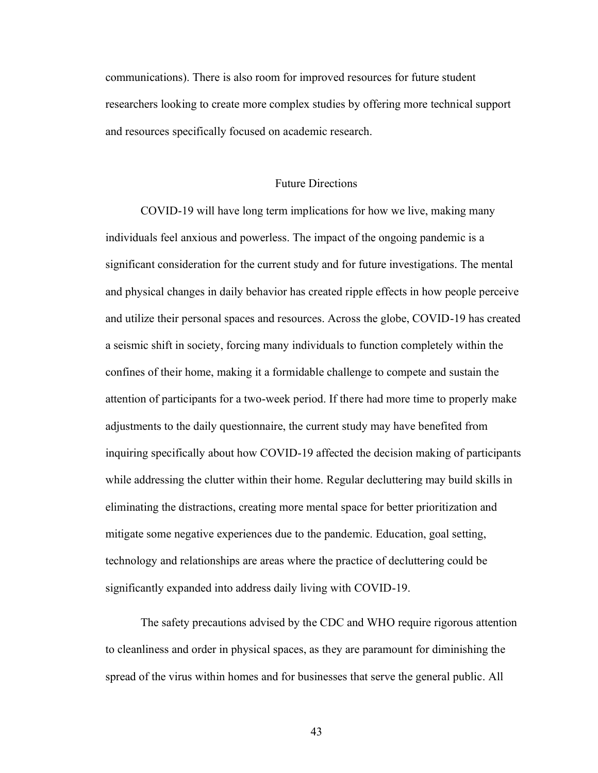communications). There is also room for improved resources for future student researchers looking to create more complex studies by offering more technical support and resources specifically focused on academic research.

#### Future Directions

COVID-19 will have long term implications for how we live, making many individuals feel anxious and powerless. The impact of the ongoing pandemic is a significant consideration for the current study and for future investigations. The mental and physical changes in daily behavior has created ripple effects in how people perceive and utilize their personal spaces and resources. Across the globe, COVID-19 has created a seismic shift in society, forcing many individuals to function completely within the confines of their home, making it a formidable challenge to compete and sustain the attention of participants for a two-week period. If there had more time to properly make adjustments to the daily questionnaire, the current study may have benefited from inquiring specifically about how COVID-19 affected the decision making of participants while addressing the clutter within their home. Regular decluttering may build skills in eliminating the distractions, creating more mental space for better prioritization and mitigate some negative experiences due to the pandemic. Education, goal setting, technology and relationships are areas where the practice of decluttering could be significantly expanded into address daily living with COVID-19.

The safety precautions advised by the CDC and WHO require rigorous attention to cleanliness and order in physical spaces, as they are paramount for diminishing the spread of the virus within homes and for businesses that serve the general public. All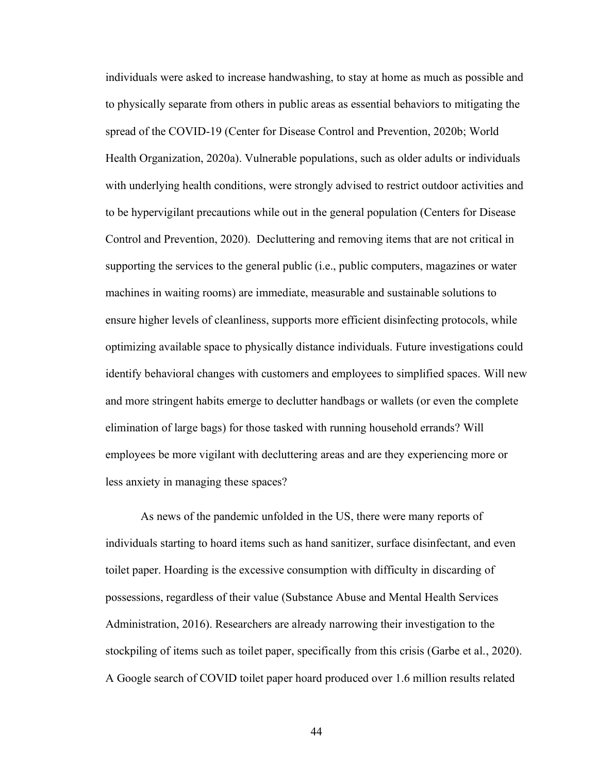individuals were asked to increase handwashing, to stay at home as much as possible and to physically separate from others in public areas as essential behaviors to mitigating the spread of the COVID-19 (Center for Disease Control and Prevention, 2020b; World Health Organization, 2020a). Vulnerable populations, such as older adults or individuals with underlying health conditions, were strongly advised to restrict outdoor activities and to be hypervigilant precautions while out in the general population (Centers for Disease Control and Prevention, 2020). Decluttering and removing items that are not critical in supporting the services to the general public (i.e., public computers, magazines or water machines in waiting rooms) are immediate, measurable and sustainable solutions to ensure higher levels of cleanliness, supports more efficient disinfecting protocols, while optimizing available space to physically distance individuals. Future investigations could identify behavioral changes with customers and employees to simplified spaces. Will new and more stringent habits emerge to declutter handbags or wallets (or even the complete elimination of large bags) for those tasked with running household errands? Will employees be more vigilant with decluttering areas and are they experiencing more or less anxiety in managing these spaces?

As news of the pandemic unfolded in the US, there were many reports of individuals starting to hoard items such as hand sanitizer, surface disinfectant, and even toilet paper. Hoarding is the excessive consumption with difficulty in discarding of possessions, regardless of their value (Substance Abuse and Mental Health Services Administration, 2016). Researchers are already narrowing their investigation to the stockpiling of items such as toilet paper, specifically from this crisis (Garbe et al., 2020). A Google search of COVID toilet paper hoard produced over 1.6 million results related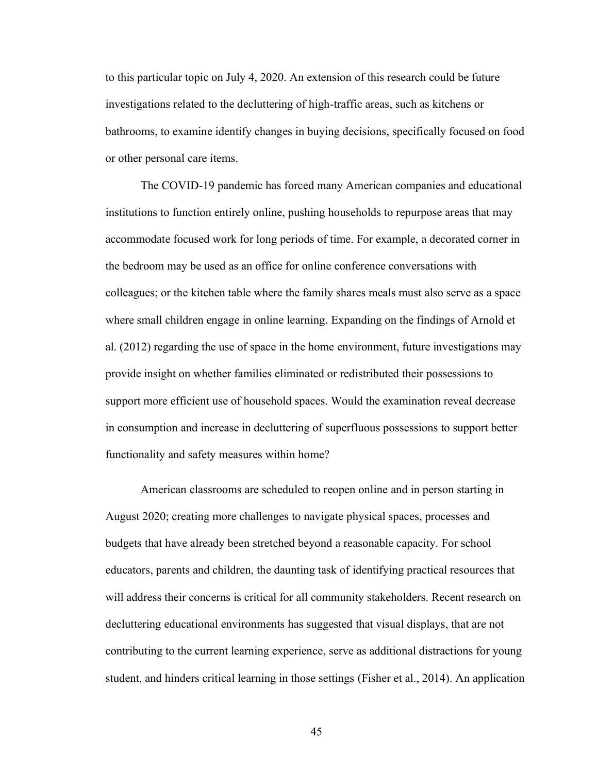to this particular topic on July 4, 2020. An extension of this research could be future investigations related to the decluttering of high-traffic areas, such as kitchens or bathrooms, to examine identify changes in buying decisions, specifically focused on food or other personal care items.

The COVID-19 pandemic has forced many American companies and educational institutions to function entirely online, pushing households to repurpose areas that may accommodate focused work for long periods of time. For example, a decorated corner in the bedroom may be used as an office for online conference conversations with colleagues; or the kitchen table where the family shares meals must also serve as a space where small children engage in online learning. Expanding on the findings of Arnold et al. (2012) regarding the use of space in the home environment, future investigations may provide insight on whether families eliminated or redistributed their possessions to support more efficient use of household spaces. Would the examination reveal decrease in consumption and increase in decluttering of superfluous possessions to support better functionality and safety measures within home?

American classrooms are scheduled to reopen online and in person starting in August 2020; creating more challenges to navigate physical spaces, processes and budgets that have already been stretched beyond a reasonable capacity. For school educators, parents and children, the daunting task of identifying practical resources that will address their concerns is critical for all community stakeholders. Recent research on decluttering educational environments has suggested that visual displays, that are not contributing to the current learning experience, serve as additional distractions for young student, and hinders critical learning in those settings (Fisher et al., 2014). An application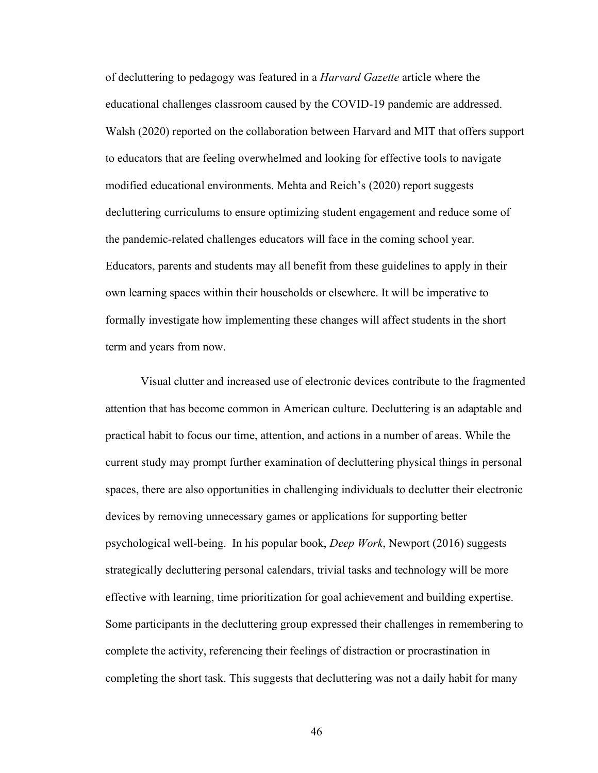of decluttering to pedagogy was featured in a *Harvard Gazette* article where the educational challenges classroom caused by the COVID-19 pandemic are addressed. Walsh (2020) reported on the collaboration between Harvard and MIT that offers support to educators that are feeling overwhelmed and looking for effective tools to navigate modified educational environments. Mehta and Reich's (2020) report suggests decluttering curriculums to ensure optimizing student engagement and reduce some of the pandemic-related challenges educators will face in the coming school year. Educators, parents and students may all benefit from these guidelines to apply in their own learning spaces within their households or elsewhere. It will be imperative to formally investigate how implementing these changes will affect students in the short term and years from now.

Visual clutter and increased use of electronic devices contribute to the fragmented attention that has become common in American culture. Decluttering is an adaptable and practical habit to focus our time, attention, and actions in a number of areas. While the current study may prompt further examination of decluttering physical things in personal spaces, there are also opportunities in challenging individuals to declutter their electronic devices by removing unnecessary games or applications for supporting better psychological well-being. In his popular book, *Deep Work*, Newport (2016) suggests strategically decluttering personal calendars, trivial tasks and technology will be more effective with learning, time prioritization for goal achievement and building expertise. Some participants in the decluttering group expressed their challenges in remembering to complete the activity, referencing their feelings of distraction or procrastination in completing the short task. This suggests that decluttering was not a daily habit for many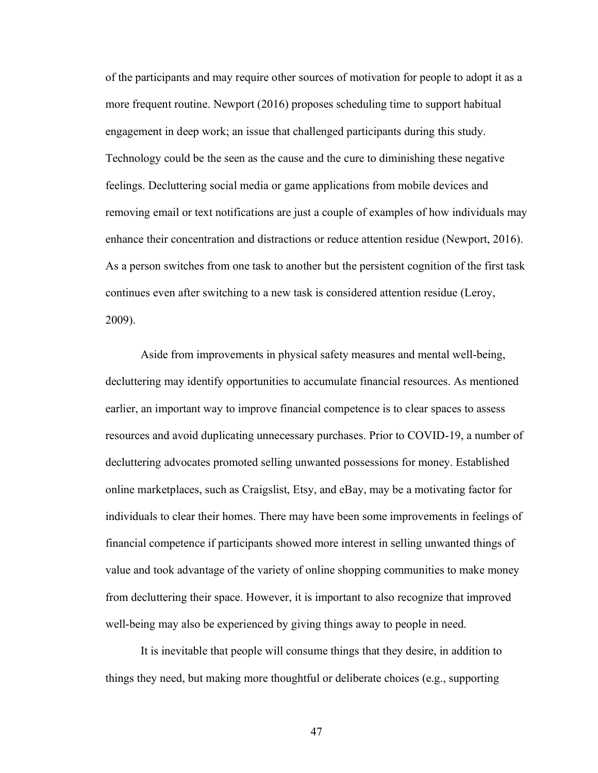of the participants and may require other sources of motivation for people to adopt it as a more frequent routine. Newport (2016) proposes scheduling time to support habitual engagement in deep work; an issue that challenged participants during this study. Technology could be the seen as the cause and the cure to diminishing these negative feelings. Decluttering social media or game applications from mobile devices and removing email or text notifications are just a couple of examples of how individuals may enhance their concentration and distractions or reduce attention residue (Newport, 2016). As a person switches from one task to another but the persistent cognition of the first task continues even after switching to a new task is considered attention residue (Leroy, 2009).

Aside from improvements in physical safety measures and mental well-being, decluttering may identify opportunities to accumulate financial resources. As mentioned earlier, an important way to improve financial competence is to clear spaces to assess resources and avoid duplicating unnecessary purchases. Prior to COVID-19, a number of decluttering advocates promoted selling unwanted possessions for money. Established online marketplaces, such as Craigslist, Etsy, and eBay, may be a motivating factor for individuals to clear their homes. There may have been some improvements in feelings of financial competence if participants showed more interest in selling unwanted things of value and took advantage of the variety of online shopping communities to make money from decluttering their space. However, it is important to also recognize that improved well-being may also be experienced by giving things away to people in need.

It is inevitable that people will consume things that they desire, in addition to things they need, but making more thoughtful or deliberate choices (e.g., supporting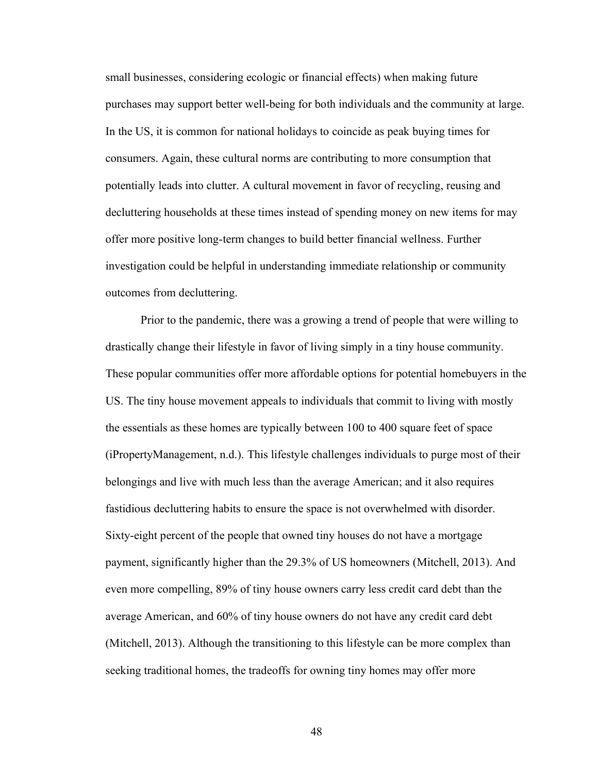small businesses, considering ecologic or financial effects) when making future purchases may support better well-being for both individuals and the community at large. In the US, it is common for national holidays to coincide as peak buying times for consumers. Again, these cultural norms are contributing to more consumption that potentially leads into clutter. A cultural movement in favor of recycling, reusing and decluttering households at these times instead of spending money on new items for may offer more positive long-term changes to build better financial wellness. Further investigation could be helpful in understanding immediate relationship or community outcomes from decluttering.

Prior to the pandemic, there was a growing a trend of people that were willing to drastically change their lifestyle in favor of living simply in a tiny house community. These popular communities offer more affordable options for potential homebuyers in the US. The tiny house movement appeals to individuals that commit to living with mostly the essentials as these homes are typically between 100 to 400 square feet of space (iPropertyManagement, n.d.). This lifestyle challenges individuals to purge most of their belongings and live with much less than the average American; and it also requires fastidious decluttering habits to ensure the space is not overwhelmed with disorder. Sixty-eight percent of the people that owned tiny houses do not have a mortgage payment, significantly higher than the 29.3% of US homeowners (Mitchell, 2013). And even more compelling, 89% of tiny house owners carry less credit card debt than the average American, and 60% of tiny house owners do not have any credit card debt (Mitchell, 2013). Although the transitioning to this lifestyle can be more complex than seeking traditional homes, the tradeoffs for owning tiny homes may offer more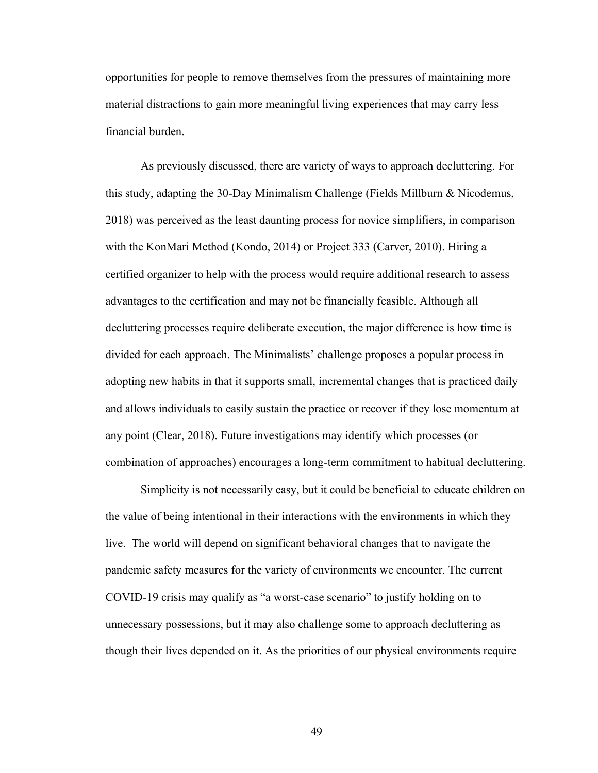opportunities for people to remove themselves from the pressures of maintaining more material distractions to gain more meaningful living experiences that may carry less financial burden.

As previously discussed, there are variety of ways to approach decluttering. For this study, adapting the 30-Day Minimalism Challenge (Fields Millburn & Nicodemus, 2018) was perceived as the least daunting process for novice simplifiers, in comparison with the KonMari Method (Kondo, 2014) or Project 333 (Carver, 2010). Hiring a certified organizer to help with the process would require additional research to assess advantages to the certification and may not be financially feasible. Although all decluttering processes require deliberate execution, the major difference is how time is divided for each approach. The Minimalists' challenge proposes a popular process in adopting new habits in that it supports small, incremental changes that is practiced daily and allows individuals to easily sustain the practice or recover if they lose momentum at any point (Clear, 2018). Future investigations may identify which processes (or combination of approaches) encourages a long-term commitment to habitual decluttering.

Simplicity is not necessarily easy, but it could be beneficial to educate children on the value of being intentional in their interactions with the environments in which they live. The world will depend on significant behavioral changes that to navigate the pandemic safety measures for the variety of environments we encounter. The current COVID-19 crisis may qualify as "a worst-case scenario" to justify holding on to unnecessary possessions, but it may also challenge some to approach decluttering as though their lives depended on it. As the priorities of our physical environments require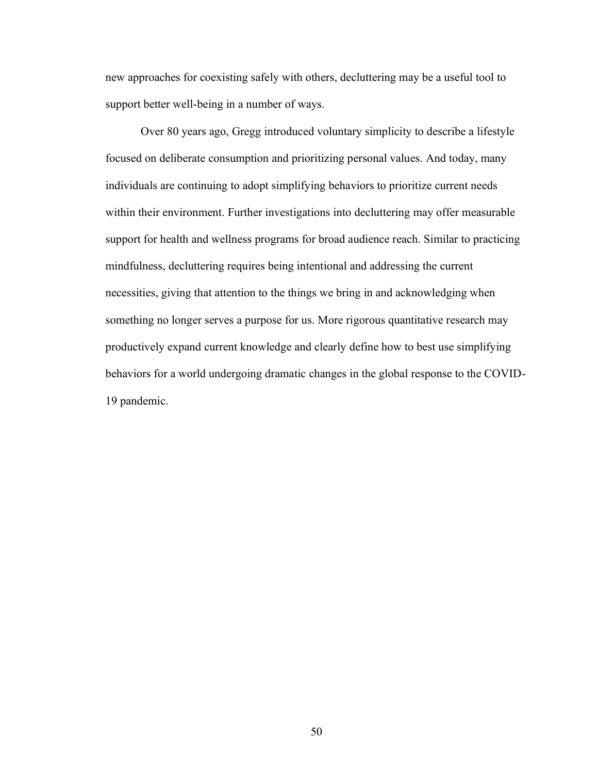new approaches for coexisting safely with others, decluttering may be a useful tool to support better well-being in a number of ways.

Over 80 years ago, Gregg introduced voluntary simplicity to describe a lifestyle focused on deliberate consumption and prioritizing personal values. And today, many individuals are continuing to adopt simplifying behaviors to prioritize current needs within their environment. Further investigations into decluttering may offer measurable support for health and wellness programs for broad audience reach. Similar to practicing mindfulness, decluttering requires being intentional and addressing the current necessities, giving that attention to the things we bring in and acknowledging when something no longer serves a purpose for us. More rigorous quantitative research may productively expand current knowledge and clearly define how to best use simplifying behaviors for a world undergoing dramatic changes in the global response to the COVID-19 pandemic.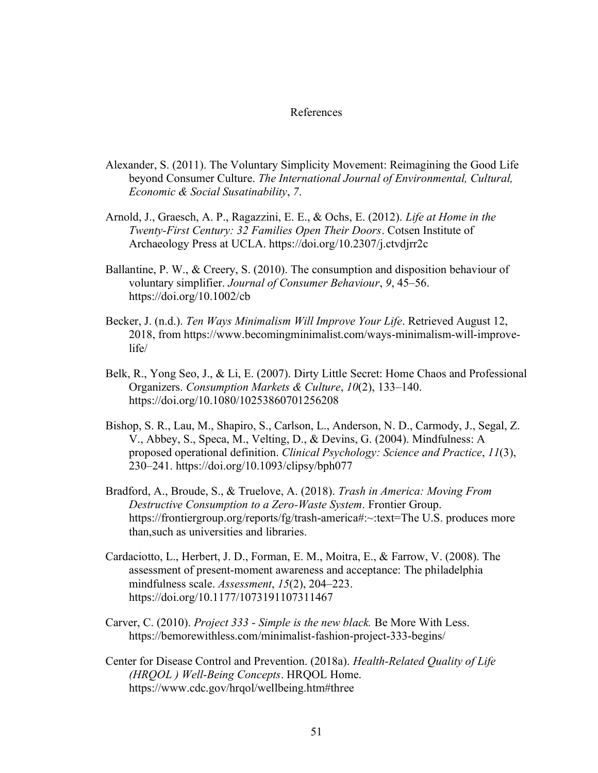#### References

- Alexander, S. (2011). The Voluntary Simplicity Movement: Reimagining the Good Life beyond Consumer Culture. *The International Journal of Environmental, Cultural, Economic & Social Susatinability*, *7*.
- Arnold, J., Graesch, A. P., Ragazzini, E. E., & Ochs, E. (2012). *Life at Home in the Twenty-First Century: 32 Families Open Their Doors*. Cotsen Institute of Archaeology Press at UCLA. https://doi.org/10.2307/j.ctvdjrr2c
- Ballantine, P. W., & Creery, S. (2010). The consumption and disposition behaviour of voluntary simplifier. *Journal of Consumer Behaviour*, *9*, 45–56. https://doi.org/10.1002/cb
- Becker, J. (n.d.). *Ten Ways Minimalism Will Improve Your Life*. Retrieved August 12, 2018, from https://www.becomingminimalist.com/ways-minimalism-will-improvelife/
- Belk, R., Yong Seo, J., & Li, E. (2007). Dirty Little Secret: Home Chaos and Professional Organizers. *Consumption Markets & Culture*, *10*(2), 133–140. https://doi.org/10.1080/10253860701256208
- Bishop, S. R., Lau, M., Shapiro, S., Carlson, L., Anderson, N. D., Carmody, J., Segal, Z. V., Abbey, S., Speca, M., Velting, D., & Devins, G. (2004). Mindfulness: A proposed operational definition. *Clinical Psychology: Science and Practice*, *11*(3), 230–241. https://doi.org/10.1093/clipsy/bph077
- Bradford, A., Broude, S., & Truelove, A. (2018). *Trash in America: Moving From Destructive Consumption to a Zero-Waste System*. Frontier Group. https://frontiergroup.org/reports/fg/trash-america#:~:text=The U.S. produces more than,such as universities and libraries.
- Cardaciotto, L., Herbert, J. D., Forman, E. M., Moitra, E., & Farrow, V. (2008). The assessment of present-moment awareness and acceptance: The philadelphia mindfulness scale. *Assessment*, *15*(2), 204–223. https://doi.org/10.1177/1073191107311467
- Carver, C. (2010). *Project 333 - Simple is the new black.* Be More With Less. https://bemorewithless.com/minimalist-fashion-project-333-begins/
- Center for Disease Control and Prevention. (2018a). *Health-Related Quality of Life (HRQOL ) Well-Being Concepts*. HRQOL Home. https://www.cdc.gov/hrqol/wellbeing.htm#three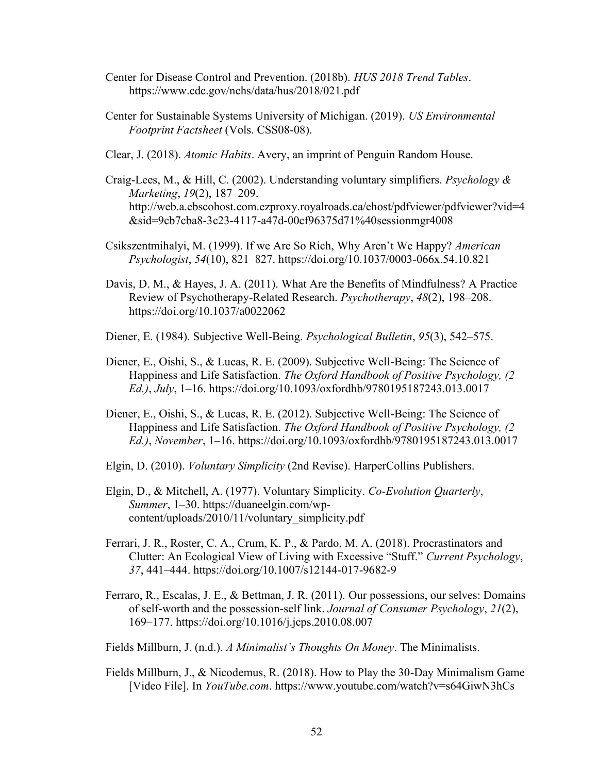- Center for Disease Control and Prevention. (2018b). *HUS 2018 Trend Tables*. https://www.cdc.gov/nchs/data/hus/2018/021.pdf
- Center for Sustainable Systems University of Michigan. (2019). *US Environmental Footprint Factsheet* (Vols. CSS08-08).
- Clear, J. (2018). *Atomic Habits*. Avery, an imprint of Penguin Random House.
- Craig-Lees, M., & Hill, C. (2002). Understanding voluntary simplifiers. *Psychology & Marketing*, *19*(2), 187–209. http://web.a.ebscohost.com.ezproxy.royalroads.ca/ehost/pdfviewer/pdfviewer?vid=4 &sid=9cb7cba8-3c23-4117-a47d-00cf96375d71%40sessionmgr4008
- Csikszentmihalyi, M. (1999). If we Are So Rich, Why Aren't We Happy? *American Psychologist*, *54*(10), 821–827. https://doi.org/10.1037/0003-066x.54.10.821
- Davis, D. M., & Hayes, J. A. (2011). What Are the Benefits of Mindfulness? A Practice Review of Psychotherapy-Related Research. *Psychotherapy*, *48*(2), 198–208. https://doi.org/10.1037/a0022062
- Diener, E. (1984). Subjective Well-Being. *Psychological Bulletin*, *95*(3), 542–575.
- Diener, E., Oishi, S., & Lucas, R. E. (2009). Subjective Well-Being: The Science of Happiness and Life Satisfaction. *The Oxford Handbook of Positive Psychology, (2 Ed.)*, *July*, 1–16. https://doi.org/10.1093/oxfordhb/9780195187243.013.0017
- Diener, E., Oishi, S., & Lucas, R. E. (2012). Subjective Well-Being: The Science of Happiness and Life Satisfaction. *The Oxford Handbook of Positive Psychology, (2 Ed.)*, *November*, 1–16. https://doi.org/10.1093/oxfordhb/9780195187243.013.0017
- Elgin, D. (2010). *Voluntary Simplicity* (2nd Revise). HarperCollins Publishers.
- Elgin, D., & Mitchell, A. (1977). Voluntary Simplicity. *Co-Evolution Quarterly*, *Summer*, 1–30. https://duaneelgin.com/wpcontent/uploads/2010/11/voluntary\_simplicity.pdf
- Ferrari, J. R., Roster, C. A., Crum, K. P., & Pardo, M. A. (2018). Procrastinators and Clutter: An Ecological View of Living with Excessive "Stuff." *Current Psychology*, *37*, 441–444. https://doi.org/10.1007/s12144-017-9682-9
- Ferraro, R., Escalas, J. E., & Bettman, J. R. (2011). Our possessions, our selves: Domains of self-worth and the possession-self link. *Journal of Consumer Psychology*, *21*(2), 169–177. https://doi.org/10.1016/j.jcps.2010.08.007
- Fields Millburn, J. (n.d.). *A Minimalist's Thoughts On Money*. The Minimalists.
- Fields Millburn, J., & Nicodemus, R. (2018). How to Play the 30-Day Minimalism Game [Video File]. In *YouTube.com*. https://www.youtube.com/watch?v=s64GiwN3hCs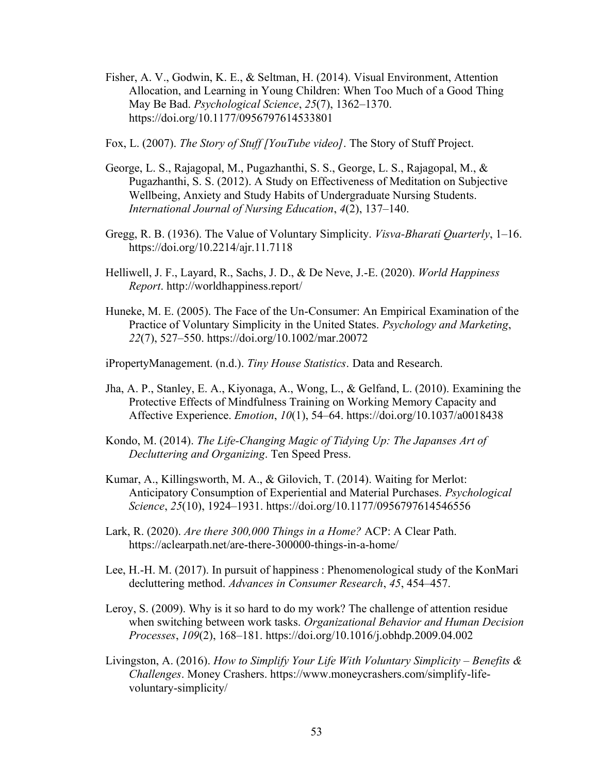- Fisher, A. V., Godwin, K. E., & Seltman, H. (2014). Visual Environment, Attention Allocation, and Learning in Young Children: When Too Much of a Good Thing May Be Bad. *Psychological Science*, *25*(7), 1362–1370. https://doi.org/10.1177/0956797614533801
- Fox, L. (2007). *The Story of Stuff [YouTube video]*. The Story of Stuff Project.
- George, L. S., Rajagopal, M., Pugazhanthi, S. S., George, L. S., Rajagopal, M., & Pugazhanthi, S. S. (2012). A Study on Effectiveness of Meditation on Subjective Wellbeing, Anxiety and Study Habits of Undergraduate Nursing Students. *International Journal of Nursing Education*, *4*(2), 137–140.
- Gregg, R. B. (1936). The Value of Voluntary Simplicity. *Visva-Bharati Quarterly*, 1–16. https://doi.org/10.2214/ajr.11.7118
- Helliwell, J. F., Layard, R., Sachs, J. D., & De Neve, J.-E. (2020). *World Happiness Report*. http://worldhappiness.report/
- Huneke, M. E. (2005). The Face of the Un-Consumer: An Empirical Examination of the Practice of Voluntary Simplicity in the United States. *Psychology and Marketing*, *22*(7), 527–550. https://doi.org/10.1002/mar.20072
- iPropertyManagement. (n.d.). *Tiny House Statistics*. Data and Research.
- Jha, A. P., Stanley, E. A., Kiyonaga, A., Wong, L., & Gelfand, L. (2010). Examining the Protective Effects of Mindfulness Training on Working Memory Capacity and Affective Experience. *Emotion*, *10*(1), 54–64. https://doi.org/10.1037/a0018438
- Kondo, M. (2014). *The Life-Changing Magic of Tidying Up: The Japanses Art of Decluttering and Organizing*. Ten Speed Press.
- Kumar, A., Killingsworth, M. A., & Gilovich, T. (2014). Waiting for Merlot: Anticipatory Consumption of Experiential and Material Purchases. *Psychological Science*, *25*(10), 1924–1931. https://doi.org/10.1177/0956797614546556
- Lark, R. (2020). *Are there 300,000 Things in a Home?* ACP: A Clear Path. https://aclearpath.net/are-there-300000-things-in-a-home/
- Lee, H.-H. M. (2017). In pursuit of happiness : Phenomenological study of the KonMari decluttering method. *Advances in Consumer Research*, *45*, 454–457.
- Leroy, S. (2009). Why is it so hard to do my work? The challenge of attention residue when switching between work tasks. *Organizational Behavior and Human Decision Processes*, *109*(2), 168–181. https://doi.org/10.1016/j.obhdp.2009.04.002
- Livingston, A. (2016). *How to Simplify Your Life With Voluntary Simplicity Benefits & Challenges*. Money Crashers. https://www.moneycrashers.com/simplify-lifevoluntary-simplicity/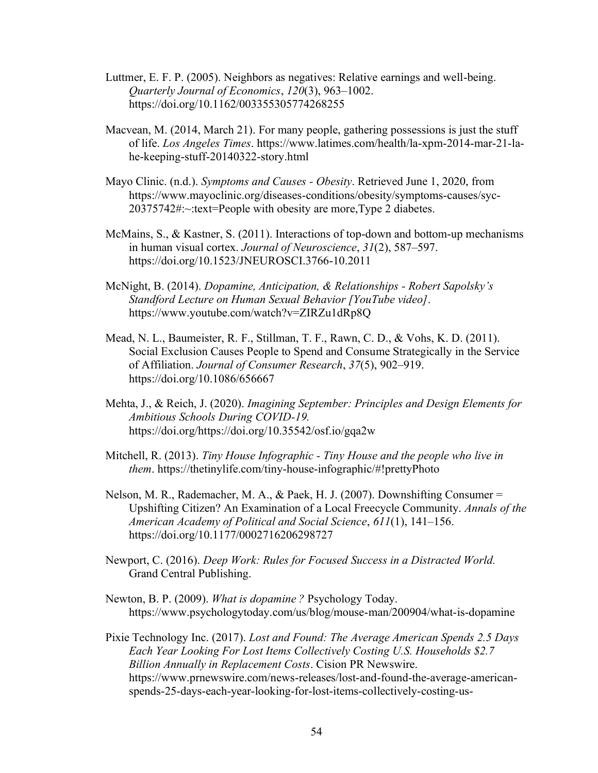- Luttmer, E. F. P. (2005). Neighbors as negatives: Relative earnings and well-being. *Quarterly Journal of Economics*, *120*(3), 963–1002. https://doi.org/10.1162/003355305774268255
- Macvean, M. (2014, March 21). For many people, gathering possessions is just the stuff of life. *Los Angeles Times*. https://www.latimes.com/health/la-xpm-2014-mar-21-lahe-keeping-stuff-20140322-story.html
- Mayo Clinic. (n.d.). *Symptoms and Causes - Obesity*. Retrieved June 1, 2020, from https://www.mayoclinic.org/diseases-conditions/obesity/symptoms-causes/syc-20375742#:~:text=People with obesity are more,Type 2 diabetes.
- McMains, S., & Kastner, S. (2011). Interactions of top-down and bottom-up mechanisms in human visual cortex. *Journal of Neuroscience*, *31*(2), 587–597. https://doi.org/10.1523/JNEUROSCI.3766-10.2011
- McNight, B. (2014). *Dopamine, Anticipation, & Relationships - Robert Sapolsky's Standford Lecture on Human Sexual Behavior [YouTube video]*. https://www.youtube.com/watch?v=ZIRZu1dRp8Q
- Mead, N. L., Baumeister, R. F., Stillman, T. F., Rawn, C. D., & Vohs, K. D. (2011). Social Exclusion Causes People to Spend and Consume Strategically in the Service of Affiliation. *Journal of Consumer Research*, *37*(5), 902–919. https://doi.org/10.1086/656667
- Mehta, J., & Reich, J. (2020). *Imagining September: Principles and Design Elements for Ambitious Schools During COVID-19.* https://doi.org/https://doi.org/10.35542/osf.io/gqa2w
- Mitchell, R. (2013). *Tiny House Infographic - Tiny House and the people who live in them*. https://thetinylife.com/tiny-house-infographic/#!prettyPhoto
- Nelson, M. R., Rademacher, M. A., & Paek, H. J. (2007). Downshifting Consumer = Upshifting Citizen? An Examination of a Local Freecycle Community. *Annals of the American Academy of Political and Social Science*, *611*(1), 141–156. https://doi.org/10.1177/0002716206298727
- Newport, C. (2016). *Deep Work: Rules for Focused Success in a Distracted World.* Grand Central Publishing.
- Newton, B. P. (2009). *What is dopamine ?* Psychology Today. https://www.psychologytoday.com/us/blog/mouse-man/200904/what-is-dopamine
- Pixie Technology Inc. (2017). *Lost and Found: The Average American Spends 2.5 Days Each Year Looking For Lost Items Collectively Costing U.S. Households \$2.7 Billion Annually in Replacement Costs*. Cision PR Newswire. https://www.prnewswire.com/news-releases/lost-and-found-the-average-americanspends-25-days-each-year-looking-for-lost-items-collectively-costing-us-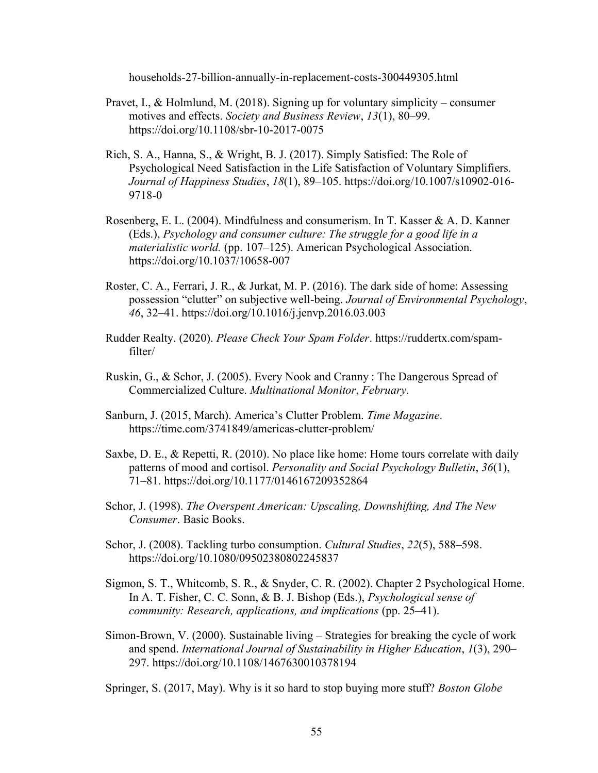households-27-billion-annually-in-replacement-costs-300449305.html

- Pravet, I., & Holmlund, M. (2018). Signing up for voluntary simplicity consumer motives and effects. *Society and Business Review*, *13*(1), 80–99. https://doi.org/10.1108/sbr-10-2017-0075
- Rich, S. A., Hanna, S., & Wright, B. J. (2017). Simply Satisfied: The Role of Psychological Need Satisfaction in the Life Satisfaction of Voluntary Simplifiers. *Journal of Happiness Studies*, *18*(1), 89–105. https://doi.org/10.1007/s10902-016- 9718-0
- Rosenberg, E. L. (2004). Mindfulness and consumerism. In T. Kasser & A. D. Kanner (Eds.), *Psychology and consumer culture: The struggle for a good life in a materialistic world.* (pp. 107–125). American Psychological Association. https://doi.org/10.1037/10658-007
- Roster, C. A., Ferrari, J. R., & Jurkat, M. P. (2016). The dark side of home: Assessing possession "clutter" on subjective well-being. *Journal of Environmental Psychology*, *46*, 32–41. https://doi.org/10.1016/j.jenvp.2016.03.003
- Rudder Realty. (2020). *Please Check Your Spam Folder*. https://ruddertx.com/spamfilter/
- Ruskin, G., & Schor, J. (2005). Every Nook and Cranny : The Dangerous Spread of Commercialized Culture. *Multinational Monitor*, *February*.
- Sanburn, J. (2015, March). America's Clutter Problem. *Time Magazine*. https://time.com/3741849/americas-clutter-problem/
- Saxbe, D. E., & Repetti, R. (2010). No place like home: Home tours correlate with daily patterns of mood and cortisol. *Personality and Social Psychology Bulletin*, *36*(1), 71–81. https://doi.org/10.1177/0146167209352864
- Schor, J. (1998). *The Overspent American: Upscaling, Downshifting, And The New Consumer*. Basic Books.
- Schor, J. (2008). Tackling turbo consumption. *Cultural Studies*, *22*(5), 588–598. https://doi.org/10.1080/09502380802245837
- Sigmon, S. T., Whitcomb, S. R., & Snyder, C. R. (2002). Chapter 2 Psychological Home. In A. T. Fisher, C. C. Sonn, & B. J. Bishop (Eds.), *Psychological sense of community: Research, applications, and implications* (pp. 25–41).
- Simon-Brown, V. (2000). Sustainable living Strategies for breaking the cycle of work and spend. *International Journal of Sustainability in Higher Education*, *1*(3), 290– 297. https://doi.org/10.1108/1467630010378194

Springer, S. (2017, May). Why is it so hard to stop buying more stuff? *Boston Globe*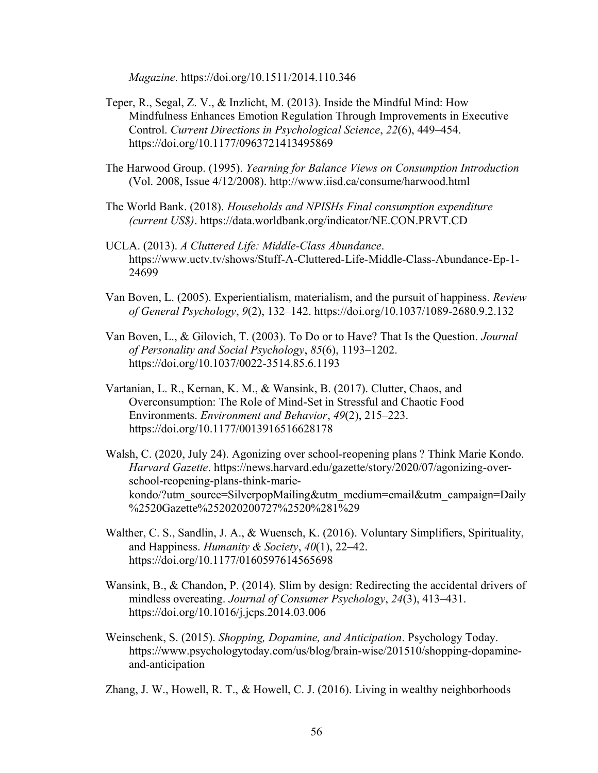*Magazine*. https://doi.org/10.1511/2014.110.346

- Teper, R., Segal, Z. V., & Inzlicht, M. (2013). Inside the Mindful Mind: How Mindfulness Enhances Emotion Regulation Through Improvements in Executive Control. *Current Directions in Psychological Science*, *22*(6), 449–454. https://doi.org/10.1177/0963721413495869
- The Harwood Group. (1995). *Yearning for Balance Views on Consumption Introduction* (Vol. 2008, Issue 4/12/2008). http://www.iisd.ca/consume/harwood.html
- The World Bank. (2018). *Households and NPISHs Final consumption expenditure (current US\$)*. https://data.worldbank.org/indicator/NE.CON.PRVT.CD
- UCLA. (2013). *A Cluttered Life: Middle-Class Abundance*. https://www.uctv.tv/shows/Stuff-A-Cluttered-Life-Middle-Class-Abundance-Ep-1- 24699
- Van Boven, L. (2005). Experientialism, materialism, and the pursuit of happiness. *Review of General Psychology*, *9*(2), 132–142. https://doi.org/10.1037/1089-2680.9.2.132
- Van Boven, L., & Gilovich, T. (2003). To Do or to Have? That Is the Question. *Journal of Personality and Social Psychology*, *85*(6), 1193–1202. https://doi.org/10.1037/0022-3514.85.6.1193
- Vartanian, L. R., Kernan, K. M., & Wansink, B. (2017). Clutter, Chaos, and Overconsumption: The Role of Mind-Set in Stressful and Chaotic Food Environments. *Environment and Behavior*, *49*(2), 215–223. https://doi.org/10.1177/0013916516628178
- Walsh, C. (2020, July 24). Agonizing over school-reopening plans ? Think Marie Kondo. *Harvard Gazette*. https://news.harvard.edu/gazette/story/2020/07/agonizing-overschool-reopening-plans-think-mariekondo/?utm\_source=SilverpopMailing&utm\_medium=email&utm\_campaign=Daily %2520Gazette%252020200727%2520%281%29
- Walther, C. S., Sandlin, J. A., & Wuensch, K. (2016). Voluntary Simplifiers, Spirituality, and Happiness. *Humanity & Society*, *40*(1), 22–42. https://doi.org/10.1177/0160597614565698
- Wansink, B., & Chandon, P. (2014). Slim by design: Redirecting the accidental drivers of mindless overeating. *Journal of Consumer Psychology*, *24*(3), 413–431. https://doi.org/10.1016/j.jcps.2014.03.006
- Weinschenk, S. (2015). *Shopping, Dopamine, and Anticipation*. Psychology Today. https://www.psychologytoday.com/us/blog/brain-wise/201510/shopping-dopamineand-anticipation
- Zhang, J. W., Howell, R. T., & Howell, C. J. (2016). Living in wealthy neighborhoods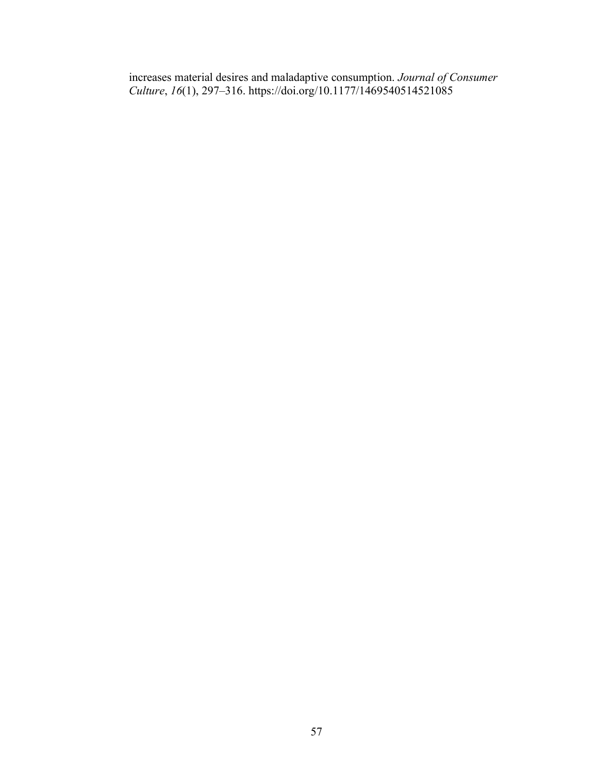increases material desires and maladaptive consumption. *Journal of Consumer Culture*, *16*(1), 297–316. https://doi.org/10.1177/1469540514521085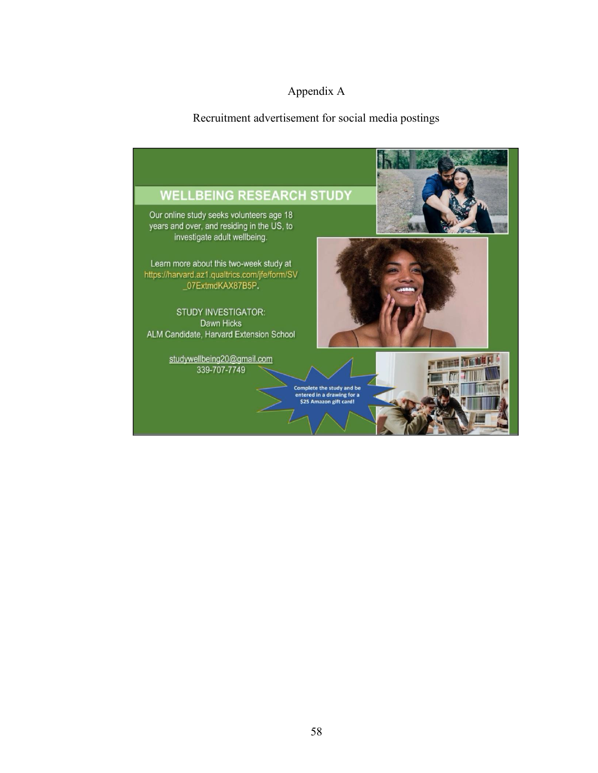# Appendix A

# Recruitment advertisement for social media postings

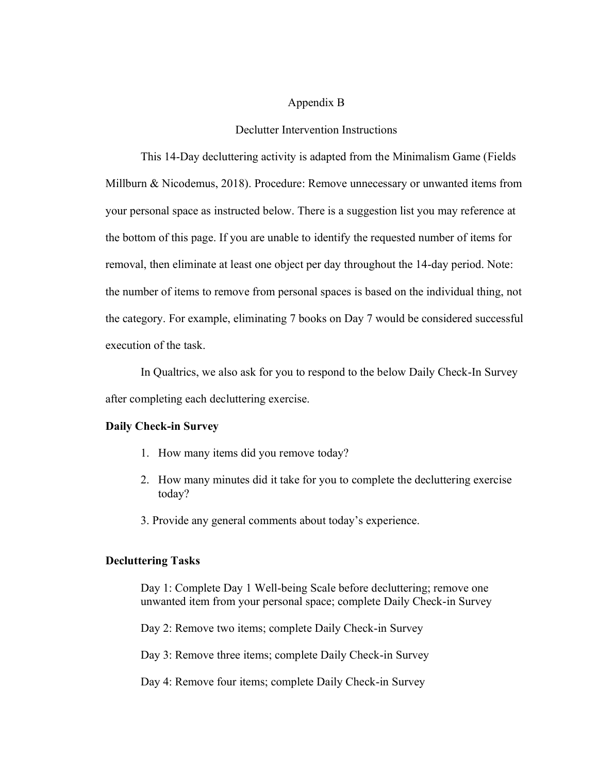#### Appendix B

## Declutter Intervention Instructions

This 14-Day decluttering activity is adapted from the Minimalism Game (Fields Millburn & Nicodemus, 2018). Procedure: Remove unnecessary or unwanted items from your personal space as instructed below. There is a suggestion list you may reference at the bottom of this page. If you are unable to identify the requested number of items for removal, then eliminate at least one object per day throughout the 14-day period. Note: the number of items to remove from personal spaces is based on the individual thing, not the category. For example, eliminating 7 books on Day 7 would be considered successful execution of the task.

In Qualtrics, we also ask for you to respond to the below Daily Check-In Survey after completing each decluttering exercise.

# **Daily Check-in Survey**

- 1. How many items did you remove today?
- 2. How many minutes did it take for you to complete the decluttering exercise today?
- 3. Provide any general comments about today's experience.

# **Decluttering Tasks**

Day 1: Complete Day 1 Well-being Scale before decluttering; remove one unwanted item from your personal space; complete Daily Check-in Survey

Day 2: Remove two items; complete Daily Check-in Survey

Day 3: Remove three items; complete Daily Check-in Survey

Day 4: Remove four items; complete Daily Check-in Survey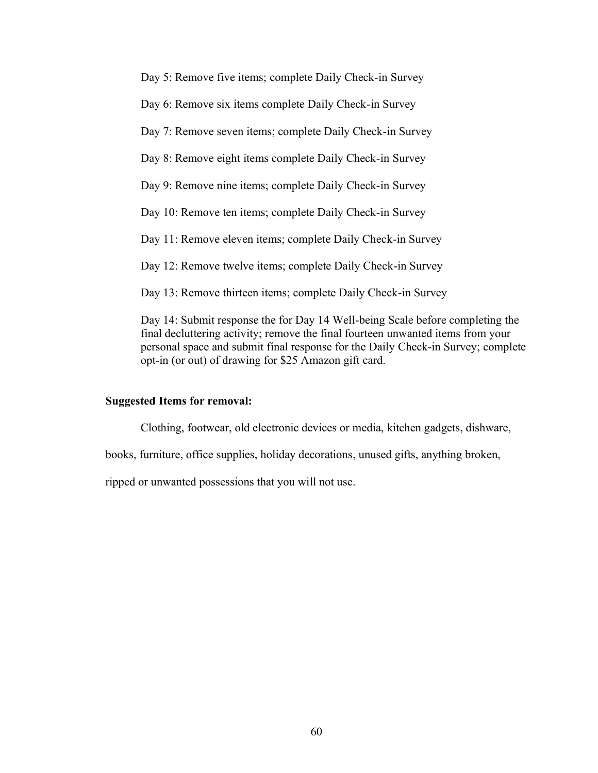Day 5: Remove five items; complete Daily Check-in Survey

Day 6: Remove six items complete Daily Check-in Survey

Day 7: Remove seven items; complete Daily Check-in Survey

Day 8: Remove eight items complete Daily Check-in Survey

Day 9: Remove nine items; complete Daily Check-in Survey

Day 10: Remove ten items; complete Daily Check-in Survey

Day 11: Remove eleven items; complete Daily Check-in Survey

Day 12: Remove twelve items; complete Daily Check-in Survey

Day 13: Remove thirteen items; complete Daily Check-in Survey

Day 14: Submit response the for Day 14 Well-being Scale before completing the final decluttering activity; remove the final fourteen unwanted items from your personal space and submit final response for the Daily Check-in Survey; complete opt-in (or out) of drawing for \$25 Amazon gift card.

#### **Suggested Items for removal:**

Clothing, footwear, old electronic devices or media, kitchen gadgets, dishware,

books, furniture, office supplies, holiday decorations, unused gifts, anything broken,

ripped or unwanted possessions that you will not use.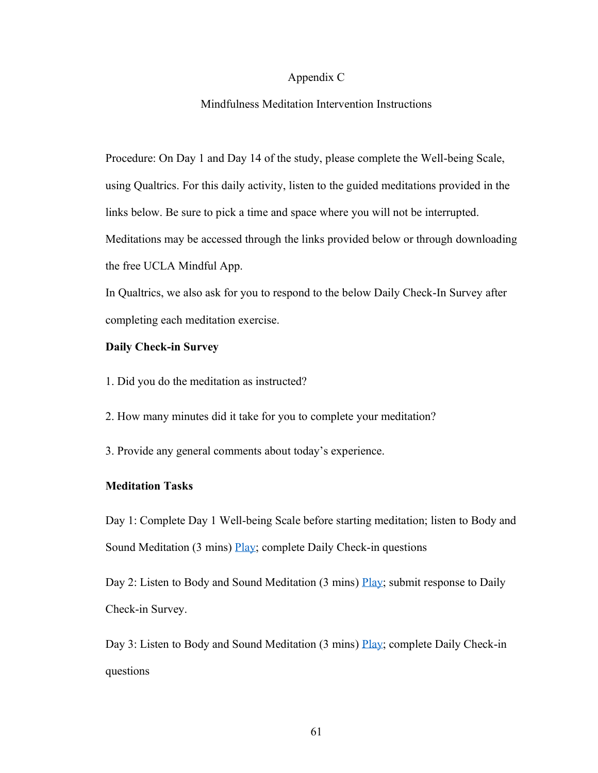#### Appendix C

# Mindfulness Meditation Intervention Instructions

Procedure: On Day 1 and Day 14 of the study, please complete the Well-being Scale, using Qualtrics. For this daily activity, listen to the guided meditations provided in the links below. Be sure to pick a time and space where you will not be interrupted. Meditations may be accessed through the links provided below or through downloading the free UCLA Mindful App.

In Qualtrics, we also ask for you to respond to the below Daily Check-In Survey after completing each meditation exercise.

## **Daily Check-in Survey**

- 1. Did you do the meditation as instructed?
- 2. How many minutes did it take for you to complete your meditation?
- 3. Provide any general comments about today's experience.

#### **Meditation Tasks**

Day 1: Complete Day 1 Well-being Scale before starting meditation; listen to Body and Sound Meditation (3 mins) [Play;](https://www.uclahealth.org/marc/mpeg/Body-Sound-Meditation.mp3) complete Daily Check-in questions

Day 2: Listen to Body and Sound Meditation (3 mins) [Play;](https://www.uclahealth.org/marc/mpeg/Body-Sound-Meditation.mp3) submit response to Daily Check-in Survey.

Day 3: Listen to Body and Sound Meditation (3 mins) [Play;](https://www.uclahealth.org/marc/mpeg/Body-Sound-Meditation.mp3) complete Daily Check-in questions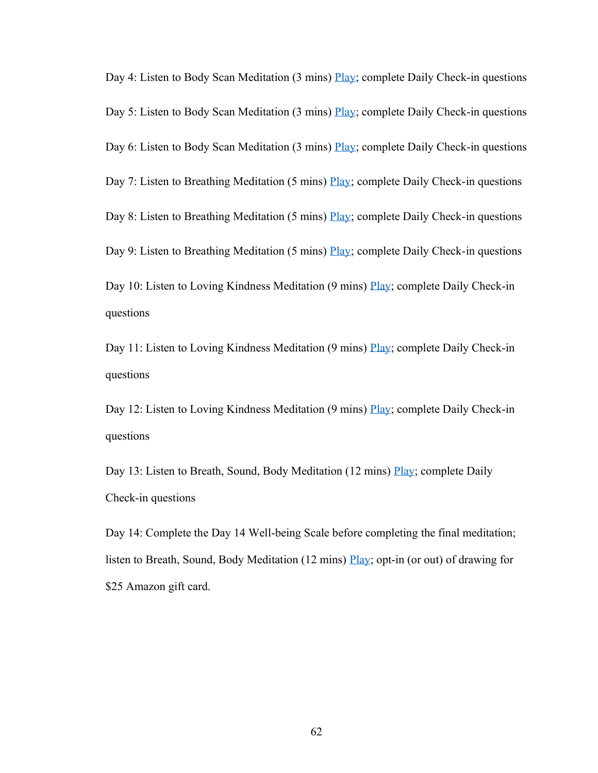Day 4: Listen to Body Scan Meditation (3 mins) [Play;](https://www.uclahealth.org/marc/mpeg/Body-Scan-Meditation.mp3) complete Daily Check-in questions Day 5: Listen to Body Scan Meditation (3 mins) [Play;](https://www.uclahealth.org/marc/mpeg/Body-Scan-Meditation.mp3) complete Daily Check-in questions Day 6: Listen to Body Scan Meditation (3 mins) [Play;](https://www.uclahealth.org/marc/mpeg/Body-Scan-Meditation.mp3) complete Daily Check-in questions Day 7: Listen to Breathing Meditation (5 mins) [Play;](https://www.uclahealth.org/marc/mpeg/01_Breathing_Meditation.mp3) complete Daily Check-in questions Day 8: Listen to Breathing Meditation (5 mins) [Play;](https://www.uclahealth.org/marc/mpeg/01_Breathing_Meditation.mp3) complete Daily Check-in questions Day 9: Listen to Breathing Meditation (5 mins) [Play;](https://www.uclahealth.org/marc/mpeg/01_Breathing_Meditation.mp3) complete Daily Check-in questions Day 10: Listen to Loving Kindness Meditation (9 mins) [Play;](https://www.uclahealth.org/marc/mpeg/05_Loving_Kindness_Meditation.mp3) complete Daily Check-in questions

Day 11: Listen to Loving Kindness Meditation (9 mins) [Play;](https://www.uclahealth.org/marc/mpeg/05_Loving_Kindness_Meditation.mp3) complete Daily Check-in questions

Day 12: Listen to Loving Kindness Meditation (9 mins) [Play;](https://www.uclahealth.org/marc/mpeg/05_Loving_Kindness_Meditation.mp3) complete Daily Check-in questions

Day 13: Listen to Breath, Sound, Body Meditation (12 mins) [Play;](https://www.uclahealth.org/marc/mpeg/02_Breath_Sound_Body_Meditation.mp3) complete Daily Check-in questions

Day 14: Complete the Day 14 Well-being Scale before completing the final meditation; listen to Breath, Sound, Body Meditation (12 mins) [Play;](https://www.uclahealth.org/marc/mpeg/02_Breath_Sound_Body_Meditation.mp3) opt-in (or out) of drawing for \$25 Amazon gift card.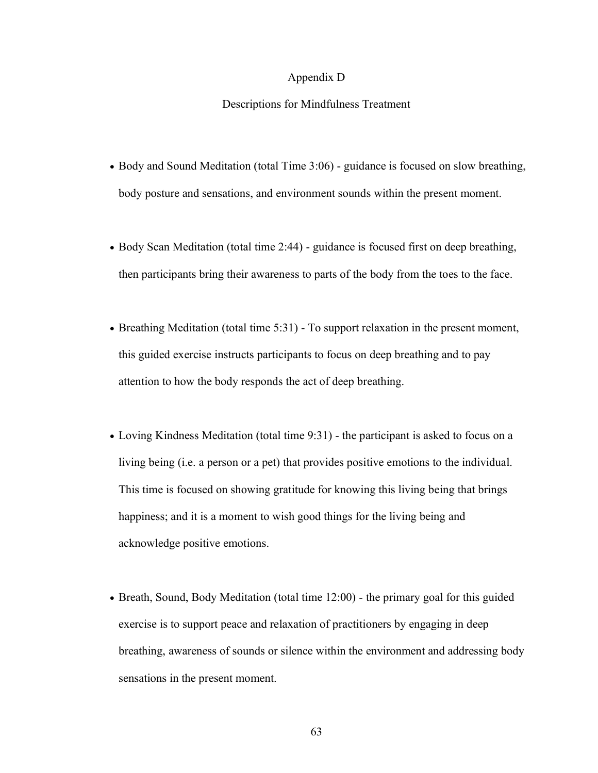#### Appendix D

#### Descriptions for Mindfulness Treatment

- Body and Sound Meditation (total Time 3:06) guidance is focused on slow breathing, body posture and sensations, and environment sounds within the present moment.
- Body Scan Meditation (total time 2:44) guidance is focused first on deep breathing, then participants bring their awareness to parts of the body from the toes to the face.
- Breathing Meditation (total time 5:31) To support relaxation in the present moment, this guided exercise instructs participants to focus on deep breathing and to pay attention to how the body responds the act of deep breathing.
- Loving Kindness Meditation (total time 9:31) the participant is asked to focus on a living being (i.e. a person or a pet) that provides positive emotions to the individual. This time is focused on showing gratitude for knowing this living being that brings happiness; and it is a moment to wish good things for the living being and acknowledge positive emotions.
- Breath, Sound, Body Meditation (total time 12:00) the primary goal for this guided exercise is to support peace and relaxation of practitioners by engaging in deep breathing, awareness of sounds or silence within the environment and addressing body sensations in the present moment.